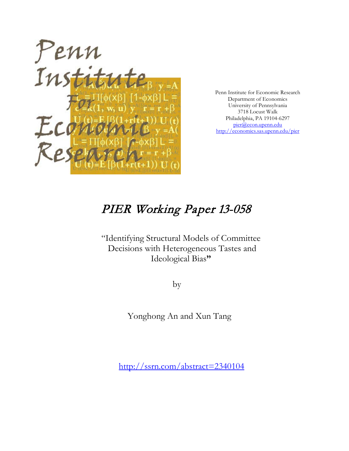

Penn Institute for Economic Research Department of Economics University of Pennsylvania 3718 Locust Walk Philadelphia, PA 19104-6297 [pier@econ.upenn.edu](mailto:pier@econ.upenn.edu) <http://economics.sas.upenn.edu/pier>

## PIER Working Paper 13-058

"Identifying Structural Models of Committee Decisions with Heterogeneous Tastes and Ideological Bias**"**

by

Yonghong An and Xun Tang

[http://ssrn.com/abstract=2](http://ssrn.com/abstract_id=)340104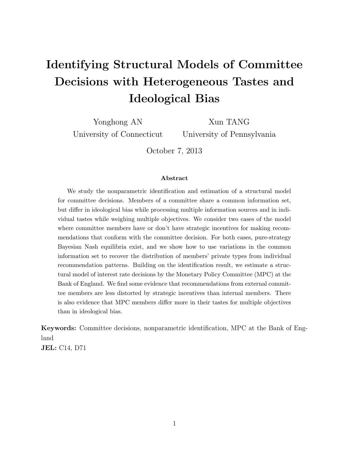# <span id="page-1-0"></span>Identifying Structural Models of Committee Decisions with Heterogeneous Tastes and Ideological Bias

Yonghong AN University of Connecticut

Xun TANG University of Pennsylvania

October 7, 2013

#### Abstract

We study the nonparametric identification and estimation of a structural model for committee decisions. Members of a committee share a common information set, but differ in ideological bias while processing multiple information sources and in individual tastes while weighing multiple objectives. We consider two cases of the model where committee members have or don't have strategic incentives for making recommendations that conform with the committee decision. For both cases, pure-strategy Bayesian Nash equilibria exist, and we show how to use variations in the common information set to recover the distribution of members' private types from individual recommendation patterns. Building on the identification result, we estimate a structural model of interest rate decisions by the Monetary Policy Committee (MPC) at the Bank of England. We find some evidence that recommendations from external committee members are less distorted by strategic incentives than internal members. There is also evidence that MPC members differ more in their tastes for multiple objectives than in ideological bias.

Keywords: Committee decisions, nonparametric identification, MPC at the Bank of England

JEL: C14, D71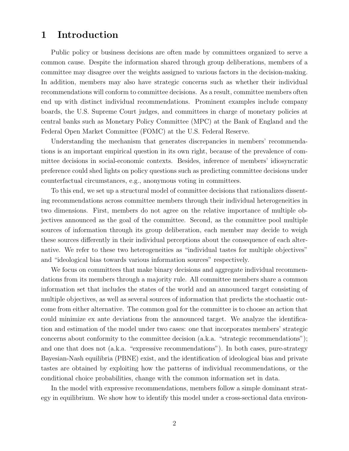## <span id="page-2-0"></span>1 Introduction

Public policy or business decisions are often made by committees organized to serve a common cause. Despite the information shared through group deliberations, members of a committee may disagree over the weights assigned to various factors in the decision-making. In addition, members may also have strategic concerns such as whether their individual recommendations will conform to committee decisions. As a result, committee members often end up with distinct individual recommendations. Prominent examples include company boards, the U.S. Supreme Court judges, and committees in charge of monetary policies at central banks such as Monetary Policy Committee (MPC) at the Bank of England and the Federal Open Market Committee (FOMC) at the U.S. Federal Reserve.

Understanding the mechanism that generates discrepancies in members' recommendations is an important empirical question in its own right, because of the prevalence of committee decisions in social-economic contexts. Besides, inference of members' idiosyncratic preference could shed lights on policy questions such as predicting committee decisions under counterfactual circumstances, e.g., anonymous voting in committees.

To this end, we set up a structural model of committee decisions that rationalizes dissenting recommendations across committee members through their individual heterogeneities in two dimensions. First, members do not agree on the relative importance of multiple objectives announced as the goal of the committee. Second, as the committee pool multiple sources of information through its group deliberation, each member may decide to weigh these sources differently in their individual perceptions about the consequence of each alternative. We refer to these two heterogeneities as "individual tastes for multiple objectives" and "ideological bias towards various information sources" respectively.

We focus on committees that make binary decisions and aggregate individual recommendations from its members through a majority rule. All committee members share a common information set that includes the states of the world and an announced target consisting of multiple objectives, as well as several sources of information that predicts the stochastic outcome from either alternative. The common goal for the committee is to choose an action that could minimize ex ante deviations from the announced target. We analyze the identification and estimation of the model under two cases: one that incorporates members' strategic concerns about conformity to the committee decision (a.k.a. "strategic recommendations"); and one that does not (a.k.a. "expressive recommendations"). In both cases, pure-strategy Bayesian-Nash equilibria (PBNE) exist, and the identification of ideological bias and private tastes are obtained by exploiting how the patterns of individual recommendations, or the conditional choice probabilities, change with the common information set in data.

In the model with expressive recommendations, members follow a simple dominant strategy in equilibrium. We show how to identify this model under a cross-sectional data environ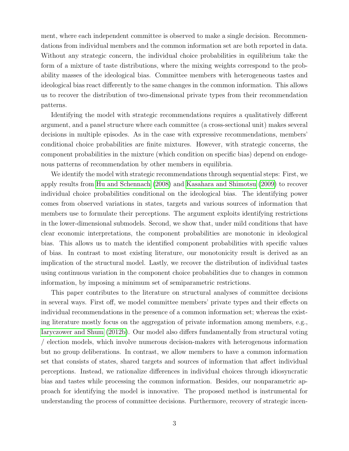ment, where each independent committee is observed to make a single decision. Recommendations from individual members and the common information set are both reported in data. Without any strategic concern, the individual choice probabilities in equilibrium take the form of a mixture of taste distributions, where the mixing weights correspond to the probability masses of the ideological bias. Committee members with heterogeneous tastes and ideological bias react differently to the same changes in the common information. This allows us to recover the distribution of two-dimensional private types from their recommendation patterns.

Identifying the model with strategic recommendations requires a qualitatively different argument, and a panel structure where each committee (a cross-sectional unit) makes several decisions in multiple episodes. As in the case with expressive recommendations, members' conditional choice probabilities are finite mixtures. However, with strategic concerns, the component probabilities in the mixture (which condition on specific bias) depend on endogenous patterns of recommendation by other members in equilibria.

We identify the model with strategic recommendations through sequential steps: First, we apply results from [Hu and Schennach](#page-34-0) [\(2008\)](#page-34-0) and [Kasahara and Shimotsu](#page-34-1) [\(2009\)](#page-34-1) to recover individual choice probabilities conditional on the ideological bias. The identifying power comes from observed variations in states, targets and various sources of information that members use to formulate their perceptions. The argument exploits identifying restrictions in the lower-dimensional submodels. Second, we show that, under mild conditions that have clear economic interpretations, the component probabilities are monotonic in ideological bias. This allows us to match the identified component probabilities with specific values of bias. In contrast to most existing literature, our monotonicity result is derived as an implication of the structural model. Lastly, we recover the distribution of individual tastes using continuous variation in the component choice probabilities due to changes in common information, by imposing a minimum set of semiparametric restrictions.

This paper contributes to the literature on structural analyses of committee decisions in several ways. First off, we model committee members' private types and their effects on individual recommendations in the presence of a common information set; whereas the existing literature mostly focus on the aggregation of private information among members, e.g., [Iaryczower and Shum](#page-34-2) [\(2012b\)](#page-34-2). Our model also differs fundamentally from structural voting / election models, which involve numerous decision-makers with heterogenous information but no group deliberations. In contrast, we allow members to have a common information set that consists of states, shared targets and sources of information that affect individual perceptions. Instead, we rationalize differences in individual choices through idiosyncratic bias and tastes while processing the common information. Besides, our nonparametric approach for identifying the model is innovative. The proposed method is instrumental for understanding the process of committee decisions. Furthermore, recovery of strategic incen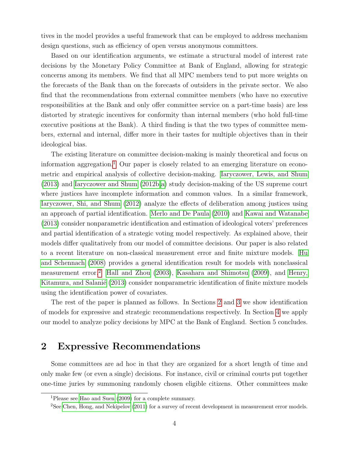tives in the model provides a useful framework that can be employed to address mechanism design questions, such as efficiency of open versus anonymous committees.

Based on our identification arguments, we estimate a structural model of interest rate decisions by the Monetary Policy Committee at Bank of England, allowing for strategic concerns among its members. We find that all MPC members tend to put more weights on the forecasts of the Bank than on the forecasts of outsiders in the private sector. We also find that the recommendations from external committee members (who have no executive responsibilities at the Bank and only offer committee service on a part-time basis) are less distorted by strategic incentives for conformity than internal members (who hold full-time executive positions at the Bank). A third finding is that the two types of committee members, external and internal, differ more in their tastes for multiple objectives than in their ideological bias.

The existing literature on committee decision-making is mainly theoretical and focus on information aggregation.[1](#page-1-0) Our paper is closely related to an emerging literature on econometric and empirical analysis of collective decision-making. [Iaryczower, Lewis, and Shum](#page-34-3) [\(2013\)](#page-34-3) and [Iaryczower and Shum](#page-34-2) [\(2012b,](#page-34-2)[a\)](#page-34-4) study decision-making of the US supreme court where justices have incomplete information and common values. In a similar framework, [Iaryczower, Shi, and Shum](#page-34-5) [\(2012\)](#page-34-5) analyze the effects of deliberation among justices using an approach of partial identification. [Merlo and De Paula](#page-35-0) [\(2010\)](#page-35-0) and [Kawai and Watanabe](#page-34-6) [\(2013\)](#page-34-6) consider nonparametric identification and estimation of ideological voters' preferences and partial identification of a strategic voting model respectively. As explained above, their models differ qualitatively from our model of committee decisions. Our paper is also related to a recent literature on non-classical measurement error and finite mixture models. [Hu](#page-34-0) [and Schennach](#page-34-0) [\(2008\)](#page-34-0) provides a general identification result for models with nonclassical measurement error.[2](#page-1-0) [Hall and Zhou](#page-33-0) [\(2003\)](#page-33-0), [Kasahara and Shimotsu](#page-34-1) [\(2009\)](#page-34-1), and [Henry,](#page-34-7) Kitamura, and Salanié [\(2013\)](#page-34-7) consider nonparametric identification of finite mixture models using the identification power of covariates.

The rest of the paper is planned as follows. In Sections [2](#page-4-0) and [3](#page-15-0) we show identification of models for expressive and strategic recommendations respectively. In Section [4](#page-27-0) we apply our model to analyze policy decisions by MPC at the Bank of England. Section 5 concludes.

## <span id="page-4-0"></span>2 Expressive Recommendations

Some committees are ad hoc in that they are organized for a short length of time and only make few (or even a single) decisions. For instance, civil or criminal courts put together one-time juries by summoning randomly chosen eligible citizens. Other committees make

<sup>1</sup>Please see [Hao and Suen](#page-33-1) [\(2009\)](#page-33-1) for a complete summary.

<sup>2</sup>See [Chen, Hong, and Nekipelov](#page-33-2) [\(2011\)](#page-33-2) for a survey of recent development in measurement error models.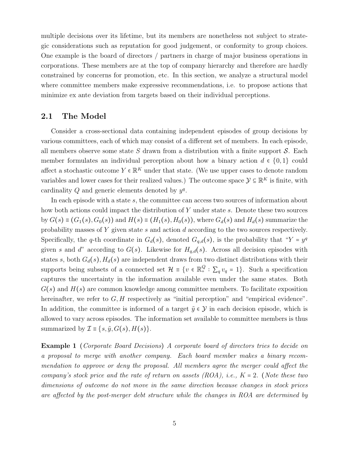multiple decisions over its lifetime, but its members are nonetheless not subject to strategic considerations such as reputation for good judgement, or conformity to group choices. One example is the board of directors / partners in charge of major business operations in corporations. These members are at the top of company hierarchy and therefore are hardly constrained by concerns for promotion, etc. In this section, we analyze a structural model where committee members make expressive recommendations, i.e. to propose actions that minimize ex ante deviation from targets based on their individual perceptions.

#### <span id="page-5-0"></span>2.1 The Model

Consider a cross-sectional data containing independent episodes of group decisions by various committees, each of which may consist of a different set of members. In each episode, all members observe some state S drawn from a distribution with a finite support  $\mathcal{S}$ . Each member formulates an individual perception about how a binary action  $d \in \{0,1\}$  could affect a stochastic outcome  $Y \in \mathbb{R}^K$  under that state. (We use upper cases to denote random variables and lower cases for their realized values.) The outcome space  $\mathcal{Y} \subseteq \mathbb{R}^K$  is finite, with cardinality  $Q$  and generic elements denoted by  $y^q$ .

In each episode with a state s, the committee can access two sources of information about how both actions could impact the distribution of Y under state s. Denote these two sources by  $G(s) \equiv (G_1(s), G_0(s))$  and  $H(s) \equiv (H_1(s), H_0(s))$ , where  $G_d(s)$  and  $H_d(s)$  summarize the probability masses of Y given state s and action d according to the two sources respectively. Specifically, the q-th coordinate in  $G_d(s)$ , denoted  $G_{q,d}(s)$ , is the probability that " $Y = y^q$ given s and d" according to  $G(s)$ . Likewise for  $H_{q,d}(s)$ . Across all decision episodes with states s, both  $G_d(s)$ ,  $H_d(s)$  are independent draws from two distinct distributions with their supports being subsets of a connected set  $\mathcal{H} \equiv \{v \in \mathbb{R}_+^Q : \sum_q v_q = 1\}$ . Such a specification captures the uncertainty in the information available even under the same states. Both  $G(s)$  and  $H(s)$  are common knowledge among committee members. To facilitate exposition hereinafter, we refer to  $G, H$  respectively as "initial perception" and "empirical evidence". In addition, the committee is informed of a target  $\tilde{y} \in \mathcal{Y}$  in each decision episode, which is allowed to vary across episodes. The information set available to committee members is thus summarized by  $\mathcal{I} \equiv \{s, \tilde{y}, G(s), H(s)\}.$ 

Example 1 (Corporate Board Decisions) A corporate board of directors tries to decide on a proposal to merge with another company. Each board member makes a binary recommendation to approve or deny the proposal. All members agree the merger could affect the company's stock price and the rate of return on assets  $(ROA)$ , i.e.,  $K = 2$ . (Note these two dimensions of outcome do not move in the same direction because changes in stock prices are affected by the post-merger debt structure while the changes in ROA are determined by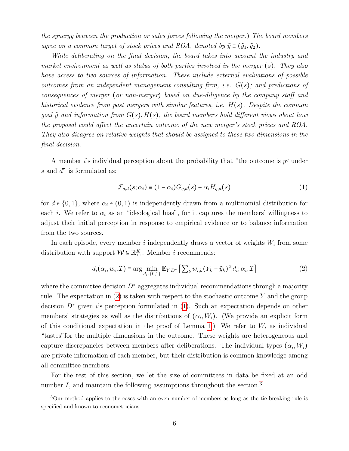the synergy between the production or sales forces following the merger.) The board members agree on a common target of stock prices and ROA, denoted by  $\tilde{y} \equiv (\tilde{y}_1, \tilde{y}_2)$ .

While deliberating on the final decision, the board takes into account the industry and market environment as well as status of both parties involved in the merger (s). They also have access to two sources of information. These include external evaluations of possible outcomes from an independent management consulting firm, i.e.  $G(s)$ ; and predictions of consequences of merger (or non-merger) based on due-diligence by the company staff and historical evidence from past mergers with similar features, i.e.  $H(s)$ . Despite the common goal  $\tilde{y}$  and information from  $G(s)$ ,  $H(s)$ , the board members hold different views about how the proposal could affect the uncertain outcome of the new merger's stock prices and ROA. They also disagree on relative weights that should be assigned to these two dimensions in the final decision.

A member i's individual perception about the probability that "the outcome is  $y<sup>q</sup>$  under s and d" is formulated as:

<span id="page-6-1"></span>
$$
\mathcal{F}_{q,d}(s;\alpha_i) \equiv (1-\alpha_i)G_{q,d}(s) + \alpha_i H_{q,d}(s)
$$
\n(1)

for  $d \in \{0,1\}$ , where  $\alpha_i \in (0,1)$  is independently drawn from a multinomial distribution for each *i*. We refer to  $\alpha_i$  as an "ideological bias", for it captures the members' willingness to adjust their initial perception in response to empirical evidence or to balance information from the two sources.

In each episode, every member  $i$  independently draws a vector of weights  $W_i$  from some distribution with support  $\mathcal{W} \subseteq \mathbb{R}_{++}^K$ . Member *i* recommends:

<span id="page-6-0"></span>
$$
d_i(\alpha_i, w_i; \mathcal{I}) \equiv \arg\min_{d_i \in \{0, 1\}} \mathbb{E}_{Y, D^*} \left[ \sum_k w_{i,k} (Y_k - \tilde{y}_k)^2 | d_i; \alpha_i, \mathcal{I} \right]
$$
(2)

where the committee decision  $D^*$  aggregates individual recommendations through a majority rule. The expectation in  $(2)$  is taken with respect to the stochastic outcome Y and the group decision  $D^*$  given i's perception formulated in [\(1\)](#page-6-1). Such an expectation depends on other members' strategies as well as the distributions of  $(\alpha_i, W_i)$ . (We provide an explicit form of this conditional expectation in the proof of Lemma [1.](#page-8-0)) We refer to  $W_i$  as individual "tastes"for the multiple dimensions in the outcome. These weights are heterogeneous and capture discrepancies between members after deliberations. The individual types  $(\alpha_i, W_i)$ are private information of each member, but their distribution is common knowledge among all committee members.

For the rest of this section, we let the size of committees in data be fixed at an odd number  $I$ , and maintain the following assumptions throughout the section.<sup>[3](#page-1-0)</sup>

<span id="page-6-2"></span><sup>&</sup>lt;sup>3</sup>Our method applies to the cases with an even number of members as long as the tie-breaking rule is specified and known to econometricians.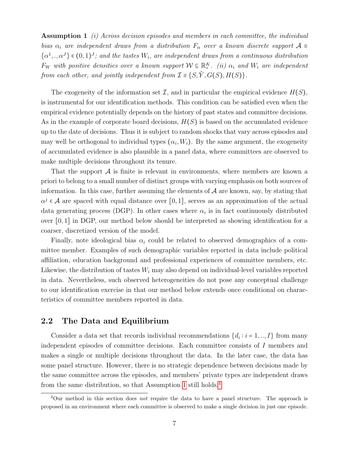Assumption 1 (i) Across decision episodes and members in each committee, the individual bias  $\alpha_i$  are independent draws from a distribution  $F_\alpha$  over a known discrete support  $\mathcal{A} \equiv$  $\{\alpha^1,..,\alpha^J\} \in (0,1)^J$ ; and the tastes  $W_i$ , are independent draws from a continuous distribution  $F_W$  with positive densities over a known support  $\mathcal{W} \subseteq \mathbb{R}_+^K$ . (ii)  $\alpha_i$  and  $W_i$  are independent from each other, and jointly independent from  $\mathcal{I} \equiv \{S, \tilde{Y}, G(S), H(S)\}.$ 

The exogeneity of the information set  $\mathcal I$ , and in particular the empirical evidence  $H(S)$ , is instrumental for our identification methods. This condition can be satisfied even when the empirical evidence potentially depends on the history of past states and committee decisions. As in the example of corporate board decisions,  $H(S)$  is based on the accumulated evidence up to the date of decisions. Thus it is subject to random shocks that vary across episodes and may well be orthogonal to individual types  $(\alpha_i, W_i)$ . By the same argument, the exogeneity of accumulated evidence is also plausible in a panel data, where committees are observed to make multiple decisions throughout its tenure.

That the support  $\mathcal A$  is finite is relevant in environments, where members are known a priori to belong to a small number of distinct groups with varying emphasis on both sources of information. In this case, further assuming the elements of  $A$  are known, say, by stating that  $\alpha^{j} \in \mathcal{A}$  are spaced with equal distance over [0,1], serves as an approximation of the actual data generating process (DGP). In other cases where  $\alpha_i$  is in fact continuously distributed over [0, 1] in DGP, our method below should be interpreted as showing identification for a coarser, discretized version of the model.

Finally, note ideological bias  $\alpha_i$  could be related to observed demographics of a committee member. Examples of such demographic variables reported in data include political affiliation, education background and professional experiences of committee members, etc. Likewise, the distribution of tastes  $W_i$  may also depend on individual-level variables reported in data. Nevertheless, such observed heterogeneities do not pose any conceptual challenge to our identification exercise in that our method below extends once conditional on characteristics of committee members reported in data.

#### <span id="page-7-0"></span>2.2 The Data and Equilibrium

Consider a data set that records individual recommendations  $\{d_i : i = 1, ..., I\}$  from many independent episodes of committee decisions. Each committee consists of I members and makes a single or multiple decisions throughout the data. In the later case, the data has some panel structure. However, there is no strategic dependence between decisions made by the same committee across the episodes, and members' private types are independent draws from the same distribution, so that Assumption [1](#page-6-2) still holds.[4](#page-1-0)

<sup>&</sup>lt;sup>4</sup>Our method in this section does *not* require the data to have a panel structure. The approach is proposed in an environment where each committee is observed to make a single decision in just one episode.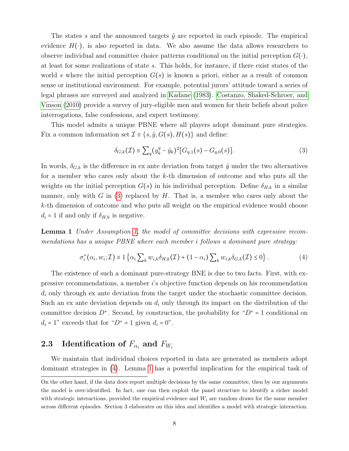The states s and the announced targets  $\tilde{y}$  are reported in each episode. The empirical evidence  $H(\cdot)$ , is also reported in data. We also assume the data allows researchers to observe individual and committee choice patterns conditional on the initial perception  $G(\cdot)$ , at least for some realizations of state s. This holds, for instance, if there exist states of the world s where the initial perception  $G(s)$  is known a priori, either as a result of common sense or institutional environment. For example, potential jurors' attitude toward a series of legal phrases are surveyed and analyzed in [Kadane](#page-34-8) [\(1983\)](#page-34-8). [Costanzo, Shaked-Schroer, and](#page-33-3) [Vinson](#page-33-3) [\(2010\)](#page-33-3) provide a survey of jury-eligible men and women for their beliefs about police interrogations, false confessions, and expert testimony.

This model admits a unique PBNE where all players adopt dominant pure strategies. Fix a common information set  $\mathcal{I} = \{s, \tilde{y}, G(s), H(s)\}\$ and define:

<span id="page-8-1"></span>
$$
\delta_{G,k}(\mathcal{I}) \equiv \sum_{q} (y_k^q - \tilde{y}_k)^2 [G_{q,1}(s) - G_{q,0}(s)]. \tag{3}
$$

In words,  $\delta_{G,k}$  is the difference in ex ante deviation from target  $\tilde{y}$  under the two alternatives for a member who cares only about the  $k$ -th dimension of outcome and who puts all the weights on the initial perception  $G(s)$  in his individual perception. Define  $\delta_{H,k}$  in a similar manner, only with G in  $(3)$  replaced by H. That is, a member who cares only about the k-th dimension of outcome and who puts all weight on the empirical evidence would choose  $d_i = 1$  if and only if  $\delta_{H,k}$  is negative.

<span id="page-8-0"></span>Lemma 1 Under Assumption [1,](#page-6-2) the model of committee decisions with expressive recommendations has a unique PBNE where each member i follows a dominant pure strategy:

<span id="page-8-2"></span>
$$
\sigma_i^*(\alpha_i, w_i; \mathcal{I}) \equiv 1 \left\{ \alpha_i \sum_k w_{i,k} \delta_{H,k}(\mathcal{I}) + (1 - \alpha_i) \sum_k w_{i,k} \delta_{G,k}(\mathcal{I}) \le 0 \right\}.
$$
 (4)

The existence of such a dominant pure-strategy BNE is due to two facts. First, with expressive recommendations, a member i's objective function depends on his recommendation  $d_i$  only through ex ante deviation from the target under the stochastic committee decision. Such an ex ante deviation depends on  $d_i$  only through its impact on the distribution of the committee decision  $D^*$ . Second, by construction, the probability for " $D^* = 1$  conditional on  $d_i = 1$ " exceeds that for " $D^* = 1$  given  $d_i = 0$ ".

### <span id="page-8-3"></span>2.3 Identification of  $F_{\alpha_i}$  and  $F_{W_i}$

We maintain that individual choices reported in data are generated as members adopt dominant strategies in [\(4\)](#page-8-2). Lemma [1](#page-8-0) has a powerful implication for the empirical task of

On the other hand, if the data does report multiple decisions by the same committee, then by our arguments the model is over-identified. In fact, one can then exploit the panel structure to identify a richer model with strategic interactions, provided the empirical evidence and  $W_i$  are random draws for the same member across different episodes. Section 3 elaborates on this idea and identifies a model with strategic interaction.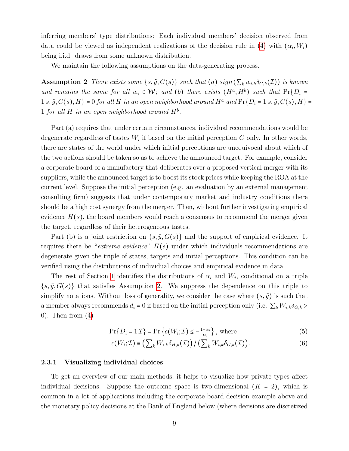inferring members' type distributions: Each individual members' decision observed from data could be viewed as independent realizations of the decision rule in [\(4\)](#page-8-2) with  $(\alpha_i, W_i)$ being i.i.d. draws from some unknown distribution.

We maintain the following assumptions on the data-generating process.

<span id="page-9-0"></span>**Assumption 2** There exists some  $\{s, \tilde{y}, G(s)\}\$  such that (a) sign  $(\sum_k w_{i,k} \delta_{G,k}(\mathcal{I}))$  is known and remains the same for all  $w_i \in \mathcal{W}$ ; and (b) there exists  $(H^a, H^b)$  such that  $Pr\{D_i =$  $1|s, \tilde{y}, G(s), H$ } = 0 for all H in an open neighborhood around H<sup>a</sup> and Pr{D<sub>i</sub> = 1|s,  $\tilde{y}, G(s), H$ } = 1 for all  $H$  in an open neighborhood around  $H^b$ .

Part (a) requires that under certain circumstances, individual recommendations would be degenerate regardless of tastes  $W_i$  if based on the initial perception G only. In other words, there are states of the world under which initial perceptions are unequivocal about which of the two actions should be taken so as to achieve the announced target. For example, consider a corporate board of a manufactory that deliberates over a proposed vertical merger with its suppliers, while the announced target is to boost its stock prices while keeping the ROA at the current level. Suppose the initial perception (e.g. an evaluation by an external management consulting firm) suggests that under contemporary market and industry conditions there should be a high cost synergy from the merger. Then, without further investigating empirical evidence  $H(s)$ , the board members would reach a consensus to recommend the merger given the target, regardless of their heterogeneous tastes.

Part (b) is a joint restriction on  $\{s, \tilde{y}, G(s)\}\$ and the support of empirical evidence. It requires there be "extreme evidence"  $H(s)$  under which individuals recommendations are degenerate given the triple of states, targets and initial perceptions. This condition can be verified using the distributions of individual choices and empirical evidence in data.

The rest of Section [1](#page-6-2) identifies the distributions of  $\alpha_i$  and  $W_i$ , conditional on a triple  $\{s, \tilde{y}, G(s)\}\$  that satisfies Assumption [2.](#page-9-0) We suppress the dependence on this triple to simplify notations. Without loss of generality, we consider the case where  $(s, \tilde{y})$  is such that a member always recommends  $d_i = 0$  if based on the initial perception only (i.e.  $\sum_k W_{i,k} \delta_{G,k}$ ) 0). Then from [\(4\)](#page-8-2)

<span id="page-9-1"></span>
$$
\Pr\{D_i = 1 | \mathcal{I}\} = \Pr\left\{c(W_i; \mathcal{I}) \le -\frac{1 - \alpha_i}{\alpha_i}\right\}, \text{ where } \tag{5}
$$

$$
c(W_i; \mathcal{I}) \equiv \left(\sum_k W_{i,k} \delta_{H,k}(\mathcal{I})\right) / \left(\sum_k W_{i,k} \delta_{G,k}(\mathcal{I})\right). \tag{6}
$$

#### 2.3.1 Visualizing individual choices

To get an overview of our main methods, it helps to visualize how private types affect individual decisions. Suppose the outcome space is two-dimensional  $(K = 2)$ , which is common in a lot of applications including the corporate board decision example above and the monetary policy decisions at the Bank of England below (where decisions are discretized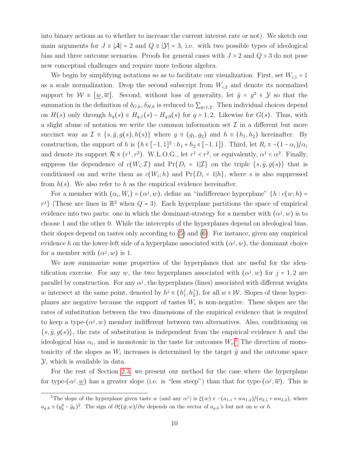into binary actions as to whether to increase the current interest rate or not). We sketch our main arguments for  $J \equiv |\mathcal{A}| = 2$  and  $Q \equiv |\mathcal{Y}| = 3$ , i.e. with two possible types of ideological bias and three outcome scenarios. Proofs for general cases with  $J > 2$  and  $Q > 3$  do not pose new conceptual challenges and require more tedious algebra.

We begin by simplifying notations so as to facilitate our visualization. First, set  $W_{i,1}$  = 1 as a scale normalization. Drop the second subscript from  $W_{i,2}$  and denote its normalized support by  $W \equiv [w, \overline{w}]$ . Second, without loss of generality, let  $\tilde{y} = y^3 \in \mathcal{Y}$  so that the summation in the definition of  $\delta_{G,k}, \delta_{H,k}$  is reduced to  $\sum_{q=1,2}$ . Then individual choices depend on  $H(s)$  only through  $h_q(s) \equiv H_{q,1}(s) - H_{q,0}(s)$  for  $q = 1,2$ . Likewise for  $G(s)$ . Thus, with a slight abuse of notation we write the common information set  $\mathcal I$  in a different but more succinct way as  $\mathcal{I} \equiv \{s, \tilde{y}, g(s), h(s)\}\$  where  $g \equiv (g_1, g_2)$  and  $h \equiv (h_1, h_2)$  hereinafter. By construction, the support of h is  $\{h \in [-1,1]^2 : h_1 + h_2 \in [-1,1]\}$ . Third, let  $R_i \equiv -(1 - \alpha_i)/\alpha_i$ and denote its support  $\mathcal{R} \equiv (r^1, r^2)$ . W.L.O.G., let  $r^1 < r^2$ , or equivalently,  $\alpha^1 < \alpha^2$ . Finally, suppress the dependence of  $c(W_i; \mathcal{I})$  and  $Pr\{D_i = 1 | \mathcal{I}\}\$  on the triple  $\{s, \tilde{y}, g(s)\}\$  that is conditioned on and write them as  $c(W_i; h)$  and  $Pr{D_i = 1|h}$ , where s is also suppressed from  $h(s)$ . We also refer to h as the empirical evidence hereinafter.

For a member with  $(\alpha_i, W_i) = (\alpha^j, w)$ , define an "indifference hyperplane"  $\{h : c(w; h) =$  $r^{j}$  (These are lines in  $\mathbb{R}^{2}$  when  $Q = 3$ ). Each hyperplane partitions the space of empirical evidence into two parts: one in which the dominant-strategy for a member with  $(\alpha^j, w)$  is to choose 1 and the other 0. While the intercepts of the hyperplanes depend on ideological bias, their slopes depend on tastes only according to [\(5\)](#page-9-1) and [\(6\)](#page-9-1). For instance, given any empirical evidence h on the lower-left side of a hyperplane associated with  $(\alpha^j, w)$ , the dominant choice for a member with  $(\alpha^j, w)$  is 1.

We now summarize some properties of the hyperplanes that are useful for the identification exercise. For any w, the two hyperplanes associated with  $(\alpha^j, w)$  for  $j = 1, 2$  are parallel by construction. For any  $\alpha^j$ , the hyperplanes (lines) associated with different weights w intersect at the same point, denoted by  $h^j \equiv (h_1^j)$  $j_1, h_2^j$ , for all  $w \in \mathcal{W}$ . Slopes of these hyperplanes are negative because the support of tastes  $W_i$  is non-negative. These slopes are the rates of substitution between the two dimensions of the empirical evidence that is required to keep a type- $(\alpha^j, w)$  member indifferent between two alternatives. Also, conditioning on  $\{s, \tilde{y}, g(s)\}\$ , the rate of substitution is independent from the empirical evidence h and the ideological bias  $\alpha_i$ , and is monotonic in the taste for outcomes  $W_i$ <sup>[5](#page-1-0)</sup>. The direction of monotonicity of the slopes as  $W_i$  increases is determined by the target  $\tilde{y}$  and the outcome space  $\mathcal{Y}$ , which is available in data.

For the rest of Section [2.3,](#page-8-3) we present our method for the case where the hyperplane for type- $(\alpha^j, \underline{w})$  has a greater slope (i.e. is "less steep") than that for type- $(\alpha^j, \overline{w})$ . This is

<sup>&</sup>lt;sup>5</sup>The slope of the hyperplane given taste w (and any  $\alpha^j$ ) is  $\xi(w) = -(a_{1,1} + wa_{1,2})/(a_{2,1} + wa_{2,2})$ , where  $a_{q,k} \equiv (y_k^q - \tilde{y}_k)^2$ . The sign of  $\partial \xi(\tilde{y}; w)/\partial w$  depends on the vector of  $a_{q,k}$ 's but not on w or h.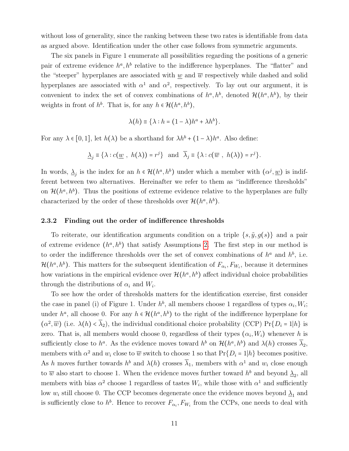without loss of generality, since the ranking between these two rates is identifiable from data as argued above. Identification under the other case follows from symmetric arguments.

The six panels in Figure 1 enumerate all possibilities regarding the positions of a generic pair of extreme evidence  $h^a, h^b$  relative to the indifference hyperplanes. The "flatter" and the "steeper" hyperplanes are associated with w and  $\overline{w}$  respectively while dashed and solid hyperplanes are associated with  $\alpha^1$  and  $\alpha^2$ , respectively. To lay out our argument, it is convenient to index the set of convex combinations of  $h^a, h^b$ , denoted  $\mathcal{H}(h^a, h^b)$ , by their weights in front of  $h^b$ . That is, for any  $h \in \mathcal{H}(h^a, h^b)$ ,

$$
\lambda(h) \equiv \{\lambda : h = (1 - \lambda)h^{a} + \lambda h^{b}\}.
$$

For any  $\lambda \in [0,1]$ , let  $h(\lambda)$  be a shorthand for  $\lambda h^b + (1 - \lambda)h^a$ . Also define:

$$
\underline{\lambda}_j \equiv \{\lambda : c(\underline{w} \ , \ h(\lambda)) = r^j\} \ \text{ and } \ \overline{\lambda}_j \equiv \{\lambda : c(\overline{w} \ , \ h(\lambda)) = r^j\}.
$$

In words,  $\underline{\lambda}_j$  is the index for an  $h \in \mathcal{H}(h^a, h^b)$  under which a member with  $(\alpha^j, \underline{w})$  is indifferent between two alternatives. Hereinafter we refer to them as "indifference thresholds" on  $\mathcal{H}(h^a, h^b)$ . Thus the positions of extreme evidence relative to the hyperplanes are fully characterized by the order of these thresholds over  $\mathcal{H}(h^a, h^b)$ .

#### <span id="page-11-0"></span>2.3.2 Finding out the order of indifference thresholds

To reiterate, our identification arguments condition on a triple  $\{s, \tilde{y}, q(s)\}\$  and a pair of extreme evidence  $(h^a, h^b)$  that satisfy Assumptions [2.](#page-9-0) The first step in our method is to order the indifference thresholds over the set of convex combinations of  $h^a$  and  $h^b$ , i.e.  $\mathcal{H}(h^a, h^b)$ . This matters for the subsequent identification of  $F_{\alpha_i}, F_{W_i}$ , because it determines how variations in the empirical evidence over  $\mathcal{H}(h^a, h^b)$  affect individual choice probabilities through the distributions of  $\alpha_i$  and  $W_i$ .

To see how the order of thresholds matters for the identification exercise, first consider the case in panel (i) of Figure 1. Under  $h^b$ , all members choose 1 regardless of types  $\alpha_i, W_i$ ; under  $h^a$ , all choose 0. For any  $h \in H(h^a, h^b)$  to the right of the indifference hyperplane for  $(\alpha^2, \overline{w})$  (i.e.  $\lambda(h) < \lambda_2$ ), the individual conditional choice probability (CCP) Pr{ $D_i = 1|h$ } is zero. That is, all members would choose 0, regardless of their types  $(\alpha_i, W_i)$  whenever h is sufficiently close to  $h^a$ . As the evidence moves toward  $h^b$  on  $\mathcal{H}(h^a, h^b)$  and  $\lambda(h)$  crosses  $\overline{\lambda}_2$ , members with  $\alpha^2$  and  $w_i$  close to  $\overline{w}$  switch to choose 1 so that Pr{D<sub>i</sub> = 1|h} becomes positive. As h moves further towards  $h^b$  and  $\lambda(h)$  crosses  $\lambda_1$ , members with  $\alpha^1$  and  $w_i$  close enough to  $\overline{w}$  also start to choose 1. When the evidence moves further toward  $h^b$  and beyond  $\underline{\lambda}_2$ , all members with bias  $\alpha^2$  choose 1 regardless of tastes  $W_i$ , while those with  $\alpha^1$  and sufficiently low  $w_i$  still choose 0. The CCP becomes degenerate once the evidence moves beyond  $\underline{\lambda}_1$  and is sufficiently close to  $h^b$ . Hence to recover  $F_{\alpha_i}, F_{W_i}$  from the CCPs, one needs to deal with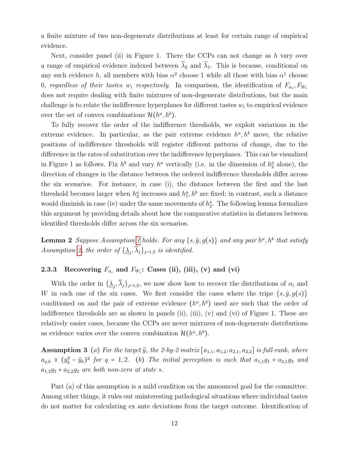a finite mixture of two non-degenerate distributions at least for certain range of empirical evidence.

Next, consider panel (ii) in Figure 1. There the CCPs can not change as  $h$  vary over a range of empirical evidence indexed between  $\overline{\lambda}_2$  and  $\overline{\lambda}_1$ . This is because, conditional on any such evidence h, all members with bias  $\alpha^2$  choose 1 while all those with bias  $\alpha^1$  choose 0, regardless of their tastes  $w_i$  respectively. In comparison, the identification of  $F_{\alpha_i}, F_{W_i}$ does not require dealing with finite mixtures of non-degenerate distributions, but the main challenge is to relate the indifference hyperplanes for different tastes  $w_i$  to empirical evidence over the set of convex combinations  $\mathcal{H}(h^a, h^b)$ .

To fully recover the order of the indifference thresholds, we exploit variations in the extreme evidence. In particular, as the pair extreme evidence  $h^a, h^b$  move, the relative positions of indifference thresholds will register different patterns of change, due to the difference in the rates of substitution over the indifference hyperplanes. This can be visualized in Figure 1 as follows. Fix  $h^b$  and vary  $h^a$  vertically (i.e. in the dimension of  $h_2^a$  alone), the direction of changes in the distance between the ordered indifference thresholds differ across the six scenarios. For instance, in case (i), the distance between the first and the last threshold becomes larger when  $h_2^a$  increases and  $h_1^a$ ,  $h^b$  are fixed; in contrast, such a distance would diminish in case (iv) under the same movements of  $h_2^a$ . The following lemma formalizes this argument by providing details about how the comparative statistics in distances between identified thresholds differ across the six scenarios.

<span id="page-12-1"></span>**Lemma 2** Suppose Assumption [1](#page-6-2) holds. For any  $\{s, \tilde{y}, g(s)\}$  and any pair  $h^a, h^b$  that satisfy Assumption [2,](#page-9-0) the order of  $\{\Delta_j, \lambda_j\}_{j=1,2}$  is identified.

#### 2.3.3 Recovering  $F_{\alpha_i}$  and  $F_{W_i}$ : Cases (ii), (iii), (v) and (vi)

With the order in  $\{\underline{\lambda}_j, \lambda_j\}_{j=1,2}$ , we now show how to recover the distributions of  $\alpha_i$  and W in each one of the six cases. We first consider the cases where the tripe  $\{s, \tilde{y}, g(s)\}\$ conditioned on and the pair of extreme evidence  $(h^a, h^b)$  used are such that the order of indifference thresholds are as shown in panels (ii), (iii), (v) and (vi) of Figure 1. These are relatively easier cases, because the CCPs are never mixtures of non-degenerate distributions as evidence varies over the convex combination  $\mathcal{H}(h^a, h^b)$ .

<span id="page-12-0"></span>Assumption 3 (a) For the target  $\tilde{y}$ , the 2-by-2 matrix  $[a_{1,1}, a_{1,2}; a_{2,1}, a_{2,2}]$  is full-rank, where  $a_{q,k} \equiv (y_k^q)$  $(\frac{q}{k} - \tilde{y}_k)^2$  for  $q = 1, 2$ . (b) The initial perception is such that  $a_{1,1}g_1 + a_{2,1}g_2$  and  $a_{1,2}g_1 + a_{2,2}g_2$  are both non-zero at state s.

Part (a) of this assumption is a mild condition on the announced goal for the committee. Among other things, it rules out uninteresting pathological situations where individual tastes do not matter for calculating ex ante deviations from the target outcome. Identification of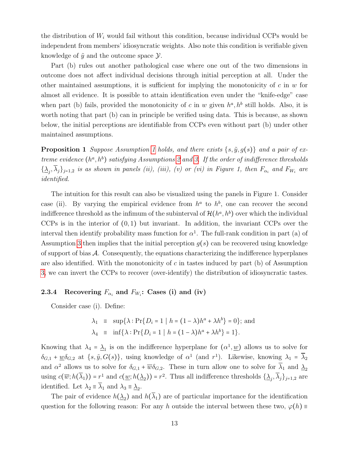the distribution of  $W_i$  would fail without this condition, because individual CCPs would be independent from members' idiosyncratic weights. Also note this condition is verifiable given knowledge of  $\tilde{y}$  and the outcome space  $\mathcal{Y}$ .

Part (b) rules out another pathological case where one out of the two dimensions in outcome does not affect individual decisions through initial perception at all. Under the other maintained assumptions, it is sufficient for implying the monotonicity of c in  $w$  for almost all evidence. It is possible to attain identification even under the "knife-edge" case when part (b) fails, provided the monotonicity of c in w given  $h^a, h^b$  still holds. Also, it is worth noting that part (b) can in principle be verified using data. This is because, as shown below, the initial perceptions are identifiable from CCPs even without part (b) under other maintained assumptions.

<span id="page-13-0"></span>**Proposition [1](#page-6-2)** Suppose Assumption 1 holds, and there exists  $\{s, \tilde{y}, g(s)\}\$  and a pair of extreme evidence  $(h^a, h^b)$  satisfying Assumptions [2](#page-9-0) and [3.](#page-12-0) If the order of indifference thresholds  $\{\Delta_j, \lambda_j\}_{j=1,2}$  is as shown in panels (ii), (iii), (v) or (vi) in Figure 1, then  $F_{\alpha_i}$  and  $F_{W_i}$  are identified.

The intuition for this result can also be visualized using the panels in Figure 1. Consider case (ii). By varying the empirical evidence from  $h^a$  to  $h^b$ , one can recover the second indifference threshold as the infimum of the subinterval of  $\mathcal{H}(h^a,h^b)$  over which the individual CCPs is in the interior of  $(0,1)$  but invariant. In addition, the invariant CCPs over the interval then identify probability mass function for  $\alpha^1$ . The full-rank condition in part (a) of Assumption [3](#page-12-0) then implies that the initial perception  $g(s)$  can be recovered using knowledge of support of bias A. Consequently, the equations characterizing the indifference hyperplanes are also identified. With the monotonicity of  $c$  in tastes induced by part (b) of Assumption [3,](#page-12-0) we can invert the CCPs to recover (over-identify) the distribution of idiosyncratic tastes.

#### 2.3.4 Recovering  $F_{\alpha_i}$  and  $F_{W_i}$ : Cases (i) and (iv)

Consider case (i). Define:

$$
\lambda_1 \equiv \sup \{ \lambda : \Pr \{ D_i = 1 \mid h = (1 - \lambda) h^a + \lambda h^b \} = 0 \}; \text{ and}
$$
  

$$
\lambda_4 \equiv \inf \{ \lambda : \Pr \{ D_i = 1 \mid h = (1 - \lambda) h^a + \lambda h^b \} = 1 \}.
$$

Knowing that  $\lambda_4 = \underline{\lambda}_1$  is on the indifference hyperplane for  $(\alpha^1, \underline{w})$  allows us to solve for  $\delta_{G,1} + \underline{w} \delta_{G,2}$  at  $\{s, \tilde{y}, G(s)\}\$ , using knowledge of  $\alpha^1$  (and  $r^1$ ). Likewise, knowing  $\lambda_1 = \lambda_2$ and  $\alpha^2$  allows us to solve for  $\delta_{G,1} + \overline{w} \delta_{G,2}$ . These in turn allow one to solve for  $\overline{\lambda}_1$  and  $\underline{\lambda}_2$ using  $c(\overline{w}; h(\overline{\lambda}_1)) = r^1$  and  $c(\underline{w}; h(\underline{\lambda}_2)) = r^2$ . Thus all indifference thresholds  $\{\underline{\lambda}_j, \overline{\lambda}_j\}_{j=1,2}$  are identified. Let  $\lambda_2 \equiv \lambda_1$  and  $\lambda_3 \equiv \underline{\lambda}_2$ .

The pair of evidence  $h(\underline{\lambda}_2)$  and  $h(\lambda_1)$  are of particular importance for the identification question for the following reason: For any h outside the interval between these two,  $\varphi(h)$  =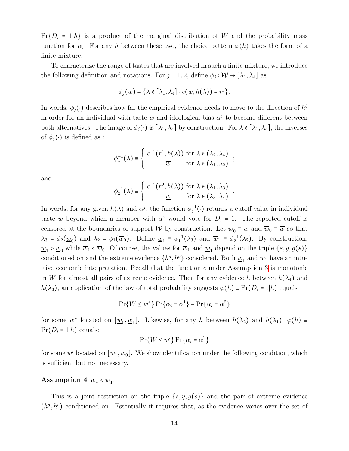$Pr{D_i = 1|h}$  is a product of the marginal distribution of W and the probability mass function for  $\alpha_i$ . For any h between these two, the choice pattern  $\varphi(h)$  takes the form of a finite mixture.

To characterize the range of tastes that are involved in such a finite mixture, we introduce the following definition and notations. For  $j = 1, 2$ , define  $\phi_j : \mathcal{W} \to [\lambda_1, \lambda_4]$  as

$$
\phi_j(w) = \{\lambda \in [\lambda_1, \lambda_4] : c(w, h(\lambda)) = r^j\}.
$$

In words,  $\phi_j(\cdot)$  describes how far the empirical evidence needs to move to the direction of  $h^b$ in order for an individual with taste w and ideological bias  $\alpha^{j}$  to become different between both alternatives. The image of  $\phi_j(\cdot)$  is  $[\lambda_1, \lambda_4]$  by construction. For  $\lambda \in [\lambda_1, \lambda_4]$ , the inverses of  $\phi_i(\cdot)$  is defined as :

$$
\phi_1^{-1}(\lambda) \equiv \begin{cases} c^{-1}(r^1, h(\lambda)) & \text{for } \lambda \in (\lambda_2, \lambda_4) \\ \overline{w} & \text{for } \lambda \in (\lambda_1, \lambda_2) \end{cases};
$$

and

$$
\phi_2^{-1}(\lambda) \equiv \begin{cases} c^{-1}(r^2, h(\lambda)) & \text{for } \lambda \in (\lambda_1, \lambda_3) \\ \underline{w} & \text{for } \lambda \in (\lambda_3, \lambda_4) \end{cases}
$$

.

In words, for any given  $h(\lambda)$  and  $\alpha^j$ , the function  $\phi_j^{-1}(\cdot)$  returns a cutoff value in individual taste w beyond which a member with  $\alpha^{j}$  would vote for  $D_{i} = 1$ . The reported cutoff is censored at the boundaries of support W by construction. Let  $\underline{w}_0 \equiv \underline{w}$  and  $\overline{w}_0 \equiv \overline{w}$  so that  $\lambda_3 = \phi_2(\underline{w}_0)$  and  $\lambda_2 = \phi_1(\overline{w}_0)$ . Define  $\underline{w}_1 \equiv \phi_1^{-1}(\lambda_3)$  and  $\overline{w}_1 \equiv \phi_2^{-1}(\lambda_2)$ . By construction,  $\underline{w}_1 > \underline{w}_0$  while  $\overline{w}_1 < \overline{w}_0$ . Of course, the values for  $\overline{w}_1$  and  $\underline{w}_1$  depend on the triple  $\{s, \tilde{y}, g(s)\}$ conditioned on and the extreme evidence  $\{h^a, h^b\}$  considered. Both  $\underline{w}_1$  and  $\overline{w}_1$  have an intuitive economic interpretation. Recall that the function  $c$  under Assumption [3](#page-12-0) is monotonic in W for almost all pairs of extreme evidence. Then for any evidence h between  $h(\lambda_4)$  and  $h(\lambda_3)$ , an application of the law of total probability suggests  $\varphi(h) \equiv Pr(D_i = 1|h)$  equals

$$
Pr{W \le w^*} Pr{\alpha_i = \alpha^1} + Pr{\alpha_i = \alpha^2}
$$

for some  $w^*$  located on  $[\underline{w}_0, \underline{w}_1]$ . Likewise, for any h between  $h(\lambda_2)$  and  $h(\lambda_1)$ ,  $\varphi(h) \equiv$  $Pr(D_i = 1|h)$  equals:

$$
\Pr\{W \le w'\} \Pr\{\alpha_i = \alpha^2\}
$$

for some w' located on  $[\overline{w}_1,\overline{w}_0]$ . We show identification under the following condition, which is sufficient but not necessary.

#### <span id="page-14-0"></span> $\textbf{Assumption~4}~~ \overline{w}_1 < \underline{w}_1.$

This is a joint restriction on the triple  $\{s, \tilde{y}, g(s)\}\$  and the pair of extreme evidence  $(h^a, h^b)$  conditioned on. Essentially it requires that, as the evidence varies over the set of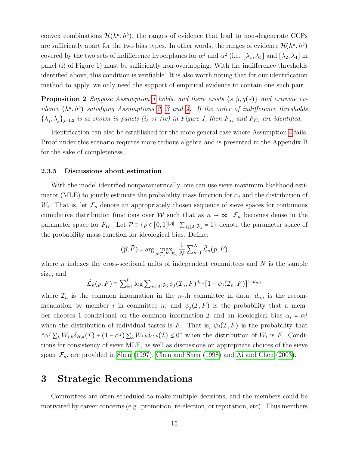convex combinations  $\mathcal{H}(h^a, h^b)$ , the ranges of evidence that lead to non-degenerate CCPs are sufficiently apart for the two bias types. In other words, the ranges of evidence  $\mathcal{H}(h^a,h^b)$ covered by the two sets of indifference hyperplanes for  $\alpha^1$  and  $\alpha^2$  (i.e.  $[\lambda_1, \lambda_3]$  and  $[\lambda_2, \lambda_4]$  in panel (i) of Figure 1) must be sufficiently non-overlapping. With the indifference thresholds identified above, this condition is verifiable. It is also worth noting that for our identification method to apply, we only need the support of empirical evidence to contain one such pair.

<span id="page-15-2"></span>**Proposition 2** Suppose Assumption [1](#page-6-2) holds, and there exists  $\{s, \tilde{y}, g(s)\}\$  and extreme evidence  $(h^a, h^b)$  satisfying Assumptions [2,](#page-9-0) [3](#page-12-0) and [4.](#page-14-0) If the order of indifference thresholds  $\{\Delta_j, \lambda_j\}_{j=1,2}$  is as shown in panels (i) or (iv) in Figure 1, then  $F_{\alpha_i}$  and  $F_{W_i}$  are identified.

Identification can also be established for the more general case where Assumption [4](#page-14-0) fails. Proof under this scenario requires more tedious algebra and is presented in the Appendix B for the sake of completeness.

#### <span id="page-15-1"></span>2.3.5 Discussions about estimation

With the model identified nonparametrically, one can use sieve maximum likelihood estimator (MLE) to jointly estimate the probability mass function for  $\alpha_i$  and the distribution of  $W_i$ . That is, let  $\mathcal{F}_n$  denote an appropriately chosen sequence of sieve spaces for continuous cumulative distribution functions over W such that as  $n \to \infty$ ,  $\mathcal{F}_n$  becomes dense in the parameter space for  $F_W$ . Let  $\mathcal{P} \equiv \{p \in [0,1]^{|\mathcal{A}|} : \sum_{j \leq |\mathcal{A}|} p_j = 1\}$  denote the parameter space of the probability mass function for ideological bias. Define:

$$
\left(\widehat{p},\widehat{F}\right)=\arg\max_{p\in\mathcal{P},F\in\mathcal{F}_n}\frac{1}{N}\sum\nolimits_{n=1}^N\hat{\mathcal{L}}_n\left(p,F\right)
$$

where  $n$  indexes the cross-sectional units of independent committees and  $N$  is the sample size; and

$$
\hat{\mathcal{L}}_n(p,F) \equiv \sum_{i=1}^I \log \sum_{j \leq |\mathcal{A}|} p_j \psi_j(\mathcal{I}_n, F)^{d_{n,i}} [1 - \psi_j(\mathcal{I}_n, F)]^{1 - d_{n,i}}
$$

where  $\mathcal{I}_n$  is the common information in the *n*-th committee in data;  $d_{n,i}$  is the recommendation by member i in committee n; and  $\psi_j(\mathcal{I}, F)$  is the probability that a member chooses 1 conditional on the common information I and an ideological bias  $\alpha_i = \alpha^j$ when the distribution of individual tastes is F. That is,  $\psi_i(\mathcal{I}, F)$  is the probability that " $\alpha^j \sum_k W_{i,k} \delta_{H,k}(\mathcal{I}) + (1 - \alpha^j) \sum_k W_{i,k} \delta_{G,k}(\mathcal{I}) \leq 0$ " when the distribution of  $W_i$  is F. Conditions for consistency of sieve MLE, as well as discussions on appropriate choices of the sieve space  $\mathcal{F}_n$ , are provided in [Shen](#page-35-1) [\(1997\)](#page-35-1), [Chen and Shen](#page-33-4) [\(1998\)](#page-33-4) and [Ai and Chen](#page-33-5) [\(2003\)](#page-33-5).

## <span id="page-15-0"></span>3 Strategic Recommendations

Committees are often scheduled to make multiple decisions, and the members could be motivated by career concerns (e.g. promotion, re-election, or reputation, etc). Thus members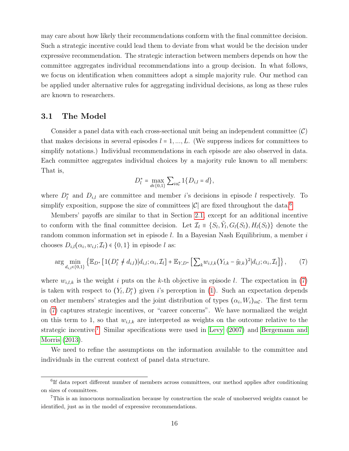may care about how likely their recommendations conform with the final committee decision. Such a strategic incentive could lead them to deviate from what would be the decision under expressive recommendation. The strategic interaction between members depends on how the committee aggregates individual recommendations into a group decision. In what follows, we focus on identification when committees adopt a simple majority rule. Our method can be applied under alternative rules for aggregating individual decisions, as long as these rules are known to researchers.

#### 3.1 The Model

Consider a panel data with each cross-sectional unit being an independent committee  $(\mathcal{C})$ that makes decisions in several episodes  $l = 1, ..., L$ . (We suppress indices for committees to simplify notations.) Individual recommendations in each episode are also observed in data. Each committee aggregates individual choices by a majority rule known to all members: That is,

$$
D_l^* = \max_{d \in \{0,1\}} \sum_{i \in C} 1\{D_{i,l} = d\},\
$$

where  $D_l^*$  and  $D_{i,l}$  are committee and member *i*'s decisions in episode *l* respectively. To simplify exposition, suppose the size of committees  $|\mathcal{C}|$  are fixed throughout the data.<sup>[6](#page-1-0)</sup>

Members' payoffs are similar to that in Section [2.1,](#page-5-0) except for an additional incentive to conform with the final committee decision. Let  $\mathcal{I}_l = \{S_l, \tilde{Y}_l, G_l(S_l), H_l(S_l)\}\$  denote the random common information set in episode l. In a Bayesian Nash Equilibrium, a member i chooses  $D_{i,l}(\alpha_i, w_{i,l}; \mathcal{I}_l) \in \{0, 1\}$  in episode l as:

<span id="page-16-0"></span>
$$
\arg\min_{d_{i,l}\in\{0,1\}}\left\{\mathbb{E}_{D^*}\left[1(D_l^*\neq d_{i,l})|d_{i,l};\alpha_i,\mathcal{I}_l\right]+\mathbb{E}_{Y,D^*}\left[\sum_kw_{i,l,k}(Y_{l,k}-\tilde{y}_{l,k})^2|d_{i,l};\alpha_i,\mathcal{I}_l\right]\right\},\qquad(7)
$$

where  $w_{i,l,k}$  is the weight i puts on the k-th objective in episode l. The expectation in [\(7\)](#page-16-0) is taken with respect to  $(Y_l, D_l^*)$  given i's perception in [\(1\)](#page-6-1). Such an expectation depends on other members' strategies and the joint distribution of types  $(\alpha_i, W_i)_{i \in \mathcal{C}}$ . The first term in [\(7\)](#page-16-0) captures strategic incentives, or "career concerns". We have normalized the weight on this term to 1, so that  $w_{i,l,k}$  are interpreted as weights on the outcome relative to the strategic incentive.<sup>[7](#page-1-0)</sup> Similar specifications were used in [Levy](#page-34-9) [\(2007\)](#page-34-9) and [Bergemann and](#page-33-6) [Morris](#page-33-6) [\(2013\)](#page-33-6).

<span id="page-16-1"></span>We need to refine the assumptions on the information available to the committee and individuals in the current context of panel data structure.

<sup>&</sup>lt;sup>6</sup>If data report different number of members across committees, our method applies after conditioning on sizes of committees.

<sup>7</sup>This is an innocuous normalization because by construction the scale of unobserved weights cannot be identified, just as in the model of expressive recommendations.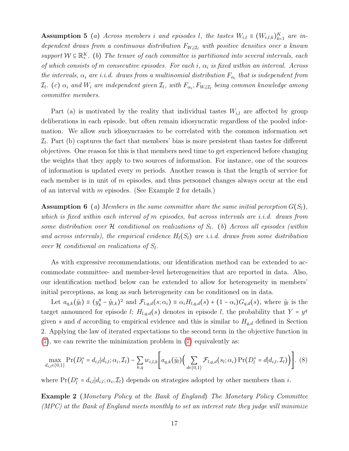**Assumption 5** (a) Across members i and episodes l, the tastes  $W_{i,l} \equiv (W_{i,l,k})_{k=1}^K$  are independent draws from a continuous distribution  $F_{W_i|\mathcal{I}_l}$  with positive densities over a known support  $W \subseteq \mathbb{R}_{+}^{K}$ . (b) The tenure of each committee is partitioned into several intervals, each of which consists of m consecutive episodes. For each i,  $\alpha_i$  is fixed within an interval. Across the intervals,  $\alpha_i$  are i.i.d. draws from a multinomial distribution  $F_{\alpha_i}$  that is independent from  $\mathcal{I}_l$ . (c)  $\alpha_i$  and  $W_i$  are independent given  $\mathcal{I}_l$ , with  $F_{\alpha_i}, F_{W_i|\mathcal{I}_l}$  being common knowledge among committee members.

Part (a) is motivated by the reality that individual tastes  $W_{i,l}$  are affected by group deliberations in each episode, but often remain idiosyncratic regardless of the pooled information. We allow such idiosyncrasies to be correlated with the common information set  $\mathcal{I}_l$ . Part (b) captures the fact that members' bias is more persistent than tastes for different objectives. One reason for this is that members need time to get experienced before changing the weights that they apply to two sources of information. For instance, one of the sources of information is updated every  $m$  periods. Another reason is that the length of service for each member is in unit of  $m$  episodes, and thus personnel changes always occur at the end of an interval with m episodes. (See Example 2 for details.)

<span id="page-17-1"></span>**Assumption 6** (a) Members in the same committee share the same initial perception  $G(S_l)$ , which is fixed within each interval of m episodes, but across intervals are i.i.d. draws from some distribution over  $H$  conditional on realizations of  $S_l$ . (b) Across all episodes (within and across intervals), the empirical evidence  $H_l(S_l)$  are i.i.d. draws from some distribution over  $H$  conditional on realizations of  $S_l$ .

As with expressive recommendations, our identification method can be extended to accommodate committee- and member-level heterogeneities that are reported in data. Also, our identification method below can be extended to allow for heterogeneity in members' initial perceptions, as long as such heterogeneity can be conditioned on in data.

Let  $a_{q,k}(\tilde{y}_l) \equiv (y_k^q)$  $\tilde{y}_{k}(\xi - \tilde{y}_{l,k})^2$  and  $\mathcal{F}_{l,q,d}(s; \alpha_i) \equiv \alpha_i H_{l,q,d}(s) + (1 - \alpha_i) G_{q,d}(s)$ , where  $\tilde{y}_l$  is the target announced for episode l;  $H_{l,q,d}(s)$  denotes in episode l, the probability that  $Y = y^q$ given s and d according to empirical evidence and this is similar to  $H_{q,d}$  defined in Section 2. Applying the law of iterated expectations to the second term in the objective function in [\(7\)](#page-16-0), we can rewrite the minimization problem in [\(7\)](#page-16-0) equivalently as:

<span id="page-17-0"></span>
$$
\max_{d_{i,l}\in\{0,1\}} \Pr(D_l^* = d_{i,l}|d_{i,l}; \alpha_i, \mathcal{I}_l) - \sum_{k,q} w_{i,l,k} \bigg[a_{q,k}(\tilde{y}_l) \bigg(\sum_{d\in\{0,1\}} \mathcal{F}_{l,q,d}(s_l; \alpha_i) \Pr(D_l^* = d | d_{i,l}, \mathcal{I}_l)\bigg)\bigg].
$$
 (8)

<span id="page-17-2"></span>where  $Pr(D_i^* = d_{i,l} | d_{i,l}; \alpha_i, \mathcal{I}_l)$  depends on strategies adopted by other members than i.

Example 2 (Monetary Policy at the Bank of England) The Monetary Policy Committee (MPC) at the Bank of England meets monthly to set an interest rate they judge will minimize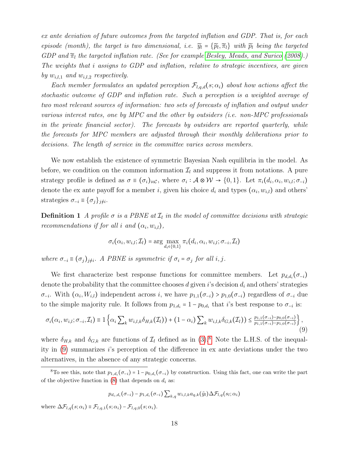ex ante deviation of future outcomes from the targeted inflation and GDP. That is, for each episode (month), the target is two dimensional, i.e.  $\tilde{y}_l = {\tilde{p}_l, \tilde{\pi}_l}$  with  $\tilde{p}_l$  being the targeted GDP and  $\tilde{\pi}_l$  the targeted inflation rate. (See for example [Besley, Meads, and Surico](#page-33-7) [\(2008\)](#page-33-7).) The weights that i assigns to GDP and inflation, relative to strategic incentives, are given by  $w_{i,l,1}$  and  $w_{i,l,2}$  respectively.

Each member formulates an updated perception  $\mathcal{F}_{l,q,d}(s;\alpha_i)$  about how actions affect the stochastic outcome of GDP and inflation rate. Such a perception is a weighted average of two most relevant sources of information: two sets of forecasts of inflation and output under various interest rates, one by MPC and the other by outsiders (i.e. non-MPC professionals in the private financial sector). The forecasts by outsiders are reported quarterly, while the forecasts for MPC members are adjusted through their monthly deliberations prior to decisions. The length of service in the committee varies across members.

We now establish the existence of symmetric Bayesian Nash equilibria in the model. As before, we condition on the common information  $\mathcal{I}_l$  and suppress it from notations. A pure strategy profile is defined as  $\sigma \equiv (\sigma_i)_{i \in \mathcal{C}}$ , where  $\sigma_i : \mathcal{A} \otimes \mathcal{W} \to \{0,1\}$ . Let  $\pi_i(d_i, \alpha_i, w_{i,l}; \sigma_{-i})$ denote the ex ante payoff for a member i, given his choice  $d_i$  and types  $(\alpha_i, w_{i,l})$  and others' strategies  $\sigma_{-i} \equiv {\sigma_j}_{j \neq i}$ .

**Definition 1** A profile  $\sigma$  is a PBNE at  $\mathcal{I}_l$  in the model of committee decisions with strategic recommendations if for all i and  $(\alpha_i, w_{i,l})$ ,

$$
\sigma_i(\alpha_i, w_{i,l}; \mathcal{I}_l) = \arg \max_{d_i \in \{0,1\}} \pi_i(d_i, \alpha_i, w_{i,l}; \sigma_{-i}, \mathcal{I}_l)
$$

where  $\sigma_{-i} \equiv (\sigma_j)_{j \neq i}$ . A PBNE is symmetric if  $\sigma_i = \sigma_j$  for all i, j.

We first characterize best response functions for committee members. Let  $p_{d,d_i}(\sigma_{-i})$ denote the probability that the committee chooses  $d$  given i's decision  $d_i$  and others' strategies  $\sigma_{-i}$ . With  $(\alpha_i, W_{i,l})$  independent across i, we have  $p_{1,1}(\sigma_{-i}) > p_{1,0}(\sigma_{-i})$  regardless of  $\sigma_{-i}$  due to the simple majority rule. It follows from  $p_{1,d_i} = 1 - p_{0,d_i}$  that i's best response to  $\sigma_{-i}$  is:

<span id="page-18-0"></span>
$$
\sigma_i(\alpha_i, w_{i,l}; \sigma_{-i}, \mathcal{I}_l) \equiv 1 \left\{ \alpha_i \sum_k w_{i,l,k} \delta_{H,k}(\mathcal{I}_l) \right\} + (1 - \alpha_i) \sum_k w_{i,l,k} \delta_{G,k}(\mathcal{I}_l) \le \frac{p_{1,1}(\sigma_{-i}) - p_{0,0}(\sigma_{-i})}{p_{1,1}(\sigma_{-i}) - p_{1,0}(\sigma_{-i})} \right\},\tag{9}
$$

where  $\delta_{H,k}$  and  $\delta_{G,k}$  are functions of  $\mathcal{I}_l$  defined as in [\(3\)](#page-8-1).<sup>[8](#page-1-0)</sup> Note the L.H.S. of the inequality in  $(9)$  summarizes is perception of the difference in ex ante deviations under the two alternatives, in the absence of any strategic concerns.

$$
p_{d_i,d_i}(\sigma_{-i}) - p_{1,d_i}(\sigma_{-i}) \sum_{k,q} w_{i,l,k} a_{q,k}(\tilde{y}_l) \Delta \mathcal{F}_{l,q}(s_l; \alpha_i)
$$

where  $\Delta \mathcal{F}_{l,q}(s;\alpha_i) \equiv \mathcal{F}_{l,q,1}(s;\alpha_i) - \mathcal{F}_{l,q,0}(s;\alpha_i)$ .

<sup>&</sup>lt;sup>8</sup>To see this, note that  $p_{1,d_i}(\sigma_{-i}) = 1 - p_{0,d_i}(\sigma_{-i})$  by construction. Using this fact, one can write the part of the objective function in [\(8\)](#page-17-0) that depends on  $d_i$  as: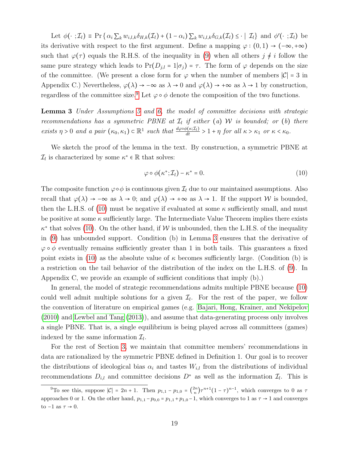Let  $\phi(\cdot;\mathcal{I}_l) \equiv \Pr\{\alpha_i \sum_k w_{i,l,k} \delta_{H,k}(\mathcal{I}_l) + (1-\alpha_i) \sum_k w_{i,l,k} \delta_{G,k}(\mathcal{I}_l) \leq \cdot \mid \mathcal{I}_l\}$  and  $\phi'(\cdot;\mathcal{I}_l)$  be its derivative with respect to the first argument. Define a mapping  $\varphi : (0,1) \to (-\infty, +\infty)$ such that  $\varphi(\tau)$  equals the R.H.S. of the inequality in [\(9\)](#page-18-0) when all others  $j \neq i$  follow the same pure strategy which leads to  $Pr(D_{j,l} = 1 | \sigma_j) = \tau$ . The form of  $\varphi$  depends on the size of the committee. (We present a close form for  $\varphi$  when the number of members  $|\mathcal{C}| = 3$  in Appendix C.) Nevertheless,  $\varphi(\lambda) \to -\infty$  as  $\lambda \to 0$  and  $\varphi(\lambda) \to +\infty$  as  $\lambda \to 1$  by construction, regardless of the committee size.<sup>[9](#page-1-0)</sup> Let  $\varphi \circ \phi$  denote the composition of the two functions.

<span id="page-19-1"></span>Lemma 3 Under Assumptions [5](#page-16-1) and [6,](#page-17-1) the model of committee decisions with strategic recommendations has a symmetric PBNE at  $\mathcal{I}_l$  if either (a) W is bounded; or (b) there exists  $\eta > 0$  and a pair  $(\kappa_0, \kappa_1) \subset \mathbb{R}^1$  such that  $\frac{d\varphi \circ \phi(\kappa; \mathcal{I}_l)}{dt} > 1 + \eta$  for all  $\kappa > \kappa_1$  or  $\kappa < \kappa_0$ .

We sketch the proof of the lemma in the text. By construction, a symmetric PBNE at  $\mathcal{I}_l$  is characterized by some  $\kappa^* \in \mathbb{R}$  that solves:

<span id="page-19-0"></span>
$$
\varphi \circ \phi(\kappa^*; \mathcal{I}_l) - \kappa^* = 0. \tag{10}
$$

The composite function  $\varphi \circ \phi$  is continuous given  $\mathcal{I}_l$  due to our maintained assumptions. Also recall that  $\varphi(\lambda) \to -\infty$  as  $\lambda \to 0$ ; and  $\varphi(\lambda) \to +\infty$  as  $\lambda \to 1$ . If the support W is bounded, then the L.H.S. of [\(10\)](#page-19-0) must be negative if evaluated at some  $\kappa$  sufficiently small, and must be positive at some  $\kappa$  sufficiently large. The Intermediate Value Theorem implies there exists  $\kappa^*$  that solves [\(10\)](#page-19-0). On the other hand, if W is unbounded, then the L.H.S. of the inequality in [\(9\)](#page-18-0) has unbounded support. Condition (b) in Lemma [3](#page-19-1) ensures that the derivative of  $\varphi \circ \phi$  eventually remains sufficiently greater than 1 in both tails. This guarantees a fixed point exists in [\(10\)](#page-19-0) as the absolute value of  $\kappa$  becomes sufficiently large. (Condition (b) is a restriction on the tail behavior of the distribution of the index on the L.H.S. of [\(9\)](#page-18-0). In Appendix C, we provide an example of sufficient conditions that imply (b).)

In general, the model of strategic recommendations admits multiple PBNE because [\(10\)](#page-19-0) could well admit multiple solutions for a given  $\mathcal{I}_l$ . For the rest of the paper, we follow the convention of literature on empirical games (e.g. [Bajari, Hong, Krainer, and Nekipelov](#page-33-8) [\(2010\)](#page-33-8) and [Lewbel and Tang](#page-34-10) [\(2013\)](#page-34-10)), and assume that data-generating process only involves a single PBNE. That is, a single equilibrium is being played across all committees (games) indexed by the same information  $\mathcal{I}_l$ .

For the rest of Section [3,](#page-15-0) we maintain that committee members' recommendations in data are rationalized by the symmetric PBNE defined in Definition 1. Our goal is to recover the distributions of ideological bias  $\alpha_i$  and tastes  $W_{i,l}$  from the distributions of individual recommendations  $D_{i,l}$  and committee decisions  $D^*$  as well as the information  $\mathcal{I}_l$ . This is

<sup>&</sup>lt;sup>9</sup>To see this, suppose  $|C| = 2n + 1$ . Then  $p_{1,1} - p_{1,0} = \binom{2n}{n}$  $\binom{2n}{n} \tau^{n+1} (1-\tau)^{n-1}$ , which converges to 0 as  $\tau$ approaches 0 or 1. On the other hand,  $p_{1,1} - p_{0,0} = p_{1,1} + p_{1,0} - 1$ , which converges to 1 as  $\tau \to 1$  and converges to  $-1$  as  $\tau \to 0.$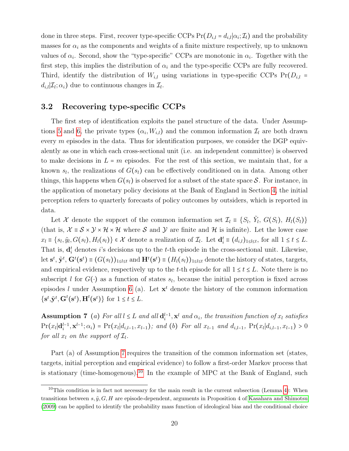done in three steps. First, recover type-specific CCPs  $Pr(D_{i,l} = d_{i,l} | \alpha_i; \mathcal{I}_l)$  and the probability masses for  $\alpha_i$  as the components and weights of a finite mixture respectively, up to unknown values of  $\alpha_i$ . Second, show the "type-specific" CCPs are monotonic in  $\alpha_i$ . Together with the first step, this implies the distribution of  $\alpha_i$  and the type-specific CCPs are fully recovered. Third, identify the distribution of  $W_{i,l}$  using variations in type-specific CCPs  $Pr(D_{i,l} =$  $d_{i,l}|\mathcal{I}_l;\alpha_i\rangle$  due to continuous changes in  $\mathcal{I}_l$ .

#### <span id="page-20-1"></span>3.2 Recovering type-specific CCPs

The first step of identification exploits the panel structure of the data. Under Assump-tions [5](#page-16-1) and [6,](#page-17-1) the private types  $(\alpha_i, W_{i,l})$  and the common information  $\mathcal{I}_l$  are both drawn every  $m$  episodes in the data. Thus for identification purposes, we consider the DGP equivalently as one in which each cross-sectional unit (i.e. an independent committee) is observed to make decisions in  $L = m$  episodes. For the rest of this section, we maintain that, for a known  $s_l$ , the realizations of  $G(s_l)$  can be effectively conditioned on in data. Among other things, this happens when  $G(s_i)$  is observed for a subset of the state space S. For instance, in the application of monetary policy decisions at the Bank of England in Section [4,](#page-27-0) the initial perception refers to quarterly forecasts of policy outcomes by outsiders, which is reported in data.

Let X denote the support of the common information set  $\mathcal{I}_l = \{S_l, \tilde{Y}_l, G(S_l), H_l(S_l)\}\$ (that is,  $\mathcal{X} \equiv \mathcal{S} \times \mathcal{Y} \times \mathcal{H} \times \mathcal{H}$  where S and Y are finite and H is infinite). Let the lower case  $x_l \equiv \{s_l, \tilde{y}_l, G(s_l), H_l(s_l)\} \in \mathcal{X}$  denote a realization of  $\mathcal{I}_l$ . Let  $\mathbf{d}_i^t \equiv (d_{i,l})_{1 \leq l \leq t}$ , for all  $1 \leq t \leq L$ . That is,  $\mathbf{d}_i^t$  denotes i's decisions up to the t-th episode in the cross-sectional unit. Likewise, let  $s^t$ ,  $\tilde{\mathbf{y}}^t$ ,  $\mathbf{G}^t(\mathbf{s}^t) \equiv (G(s_l))_{1 \leq l \leq t}$  and  $\mathbf{H}^t(\mathbf{s}^t) \equiv (H_l(s_l))_{1 \leq l \leq t}$  denote the history of states, targets, and empirical evidence, respectively up to the t-th episode for all  $1 \le t \le L$ . Note there is no subscript l for  $G(\cdot)$  as a function of states  $s_l$ , because the initial perception is fixed across episodes l under Assumption [6](#page-17-1) (a). Let  $\mathbf{x}^t$  denote the history of the common information  $\{s^t, \tilde{y}^t, G^t(s^t), H^t(s^t)\}\text{ for }1 \leq t \leq L.$ 

<span id="page-20-0"></span>**Assumption 7** (a) For all  $l \leq L$  and all  $\mathbf{d}_{i}^{l-1}, \mathbf{x}^{l}$  and  $\alpha_{i}$ , the transition function of  $x_{l}$  satisfies  $Pr(x_l|\mathbf{d}_i^{l-1}, \mathbf{x}^{l-1}; \alpha_i) = Pr(x_l|d_{i,l-1}, x_{l-1})$ ; and (b) For all  $x_{l-1}$  and  $d_{i,l-1}$ ,  $Pr(x_l|d_{i,l-1}, x_{l-1}) > 0$ for all  $x_l$  on the support of  $\mathcal{I}_l$ .

Part (a) of Assumption [7](#page-20-0) requires the transition of the common information set (states, targets, initial perception and empirical evidence) to follow a first-order Markov process that is stationary (time-homogenous).<sup>[10](#page-1-0)</sup> In the example of MPC at the Bank of England, such

<sup>&</sup>lt;sup>10</sup>This condition is in fact not necessary for the main result in the current subsection (Lemma [4\)](#page-22-0): When transitions between  $s, \tilde{y}, G, H$  are episode-dependent, arguments in Proposition 4 of [Kasahara and Shimotsu](#page-34-1) [\(2009\)](#page-34-1) can be applied to identify the probability mass function of ideological bias and the conditional choice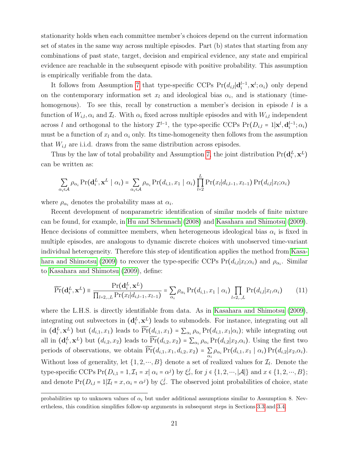stationarity holds when each committee member's choices depend on the current information set of states in the same way across multiple episodes. Part (b) states that starting from any combinations of past state, target, decision and empirical evidence, any state and empirical evidence are reachable in the subsequent episode with positive probability. This assumption is empirically verifiable from the data.

It follows from Assumption [7](#page-20-0) that type-specific CCPs  $Pr(d_{i,l}|\mathbf{d}_i^{l-1}, \mathbf{x}^l; \alpha_i)$  only depend on the contemporary information set  $x_l$  and ideological bias  $\alpha_i$ , and is stationary (timehomogenous). To see this, recall by construction a member's decision in episode  $l$  is a function of  $W_{i,l}, \alpha_i$  and  $\mathcal{I}_l$ . With  $\alpha_i$  fixed across multiple episodes and with  $W_{i,l}$  independent across l and orthogonal to the history  $\mathcal{I}^{l-1}$ , the type-specific CCPs Pr $(D_{i,l} = 1 | \mathbf{x}^l, \mathbf{d}_i^{l-1}; \alpha_i)$ must be a function of  $x_l$  and  $\alpha_i$  only. Its time-homogeneity then follows from the assumption that  $W_{i,l}$  are i.i.d. draws from the same distribution across episodes.

Thus by the law of total probability and Assumption [7,](#page-20-0) the joint distribution  $Pr(\mathbf{d}_i^L, \mathbf{x}^L)$ can be written as:

$$
\sum_{\alpha_i \in \mathcal{A}} \rho_{\alpha_i} \Pr(\mathbf{d}_i^L, \mathbf{x}^L \mid \alpha_i) = \sum_{\alpha_i \in \mathcal{A}} \rho_{\alpha_i} \Pr(d_{i,1}, x_1 \mid \alpha_i) \prod_{l=2}^L \Pr(x_l | d_{i,l-1}, x_{l-1}) \Pr(d_{i,l} | x_l; \alpha_i)
$$

where  $\rho_{\alpha_i}$  denotes the probability mass at  $\alpha_i$ .

Recent development of nonparametric identification of similar models of finite mixture can be found, for example, in [Hu and Schennach](#page-34-0) [\(2008\)](#page-34-0) and [Kasahara and Shimotsu](#page-34-1) [\(2009\)](#page-34-1). Hence decisions of committee members, when heterogeneous ideological bias  $\alpha_i$  is fixed in multiple episodes, are analogous to dynamic discrete choices with unobserved time-variant individual heterogeneity. Therefore this step of identification applies the method from [Kasa](#page-34-1)[hara and Shimotsu](#page-34-1) [\(2009\)](#page-34-1) to recover the type-specific CCPs  $Pr(d_{i,l}|x_i;\alpha_i)$  and  $\rho_{\alpha_i}$ . Similar to [Kasahara and Shimotsu](#page-34-1) [\(2009\)](#page-34-1), define:

<span id="page-21-0"></span>
$$
\widetilde{\Pr}(\mathbf{d}_i^L, \mathbf{x}^L) \equiv \frac{\Pr(\mathbf{d}_i^L, \mathbf{x}^L)}{\prod_{l=2,..,L} \Pr(x_l | d_{i,l-1}, x_{l-1})} = \sum_{\alpha_i} \rho_{\alpha_i} \Pr(d_{i,1}, x_1 \mid \alpha_i) \prod_{l=2,..,L} \Pr(d_{i,l} | x_l, \alpha_i) \tag{11}
$$

where the L.H.S. is directly identifiable from data. As in [Kasahara and Shimotsu](#page-34-1) [\(2009\)](#page-34-1), integrating out subvectors in  $(\mathbf{d}_i^L, \mathbf{x}^L)$  leads to submodels. For instance, integrating out all in  $(\mathbf{d}_i^L, \mathbf{x}^L)$  but  $(d_{i,1}, x_1)$  leads to  $\widetilde{\Pr}(d_{i,1}, x_1) = \sum_{\alpha_i} \rho_{\alpha_i} \Pr(d_{i,1}, x_1 | \alpha_i)$ ; while integrating out all in  $(\mathbf{d}_i^L, \mathbf{x}^L)$  but  $(d_{i,2}, x_2)$  leads to  $\widetilde{\Pr}(d_{i,2}, x_2) = \sum_{\alpha_i} \rho_{\alpha_i} \Pr(d_{i,2}|x_2, \alpha_i)$ . Using the first two periods of observations, we obtain  $\widetilde{\Pr}(d_{i,1}, x_1, d_{i,2}, x_2) = \sum_{\alpha_i} \rho_{\alpha_i} \Pr(d_{i,1}, x_1 | \alpha_i) \Pr(d_{i,2}|x_2, \alpha_i)$ . Without loss of generality, let  $\{1, 2, \dots, B\}$  denote a set of realized values for  $\mathcal{I}_l$ . Denote the type-specific CCPs  $Pr(D_{i,1} = 1, \mathcal{I}_1 = x | \alpha_i = \alpha^j)$  by  $\xi_x^j$ , for  $j \in \{1, 2, \dots, |\mathcal{A}|\}$  and  $x \in \{1, 2, \dots, B\}$ ; and denote  $Pr(D_{i,l} = 1 | \mathcal{I}_l = x, \alpha_i = \alpha^j)$  by  $\zeta_x^j$ . The observed joint probabilities of choice, state

probabilities up to unknown values of  $\alpha_i$  but under additional assumptions similar to Assumption 8. Nevertheless, this condition simplifies follow-up arguments in subsequent steps in Sections [3.3](#page-23-0) and [3.4.](#page-25-0)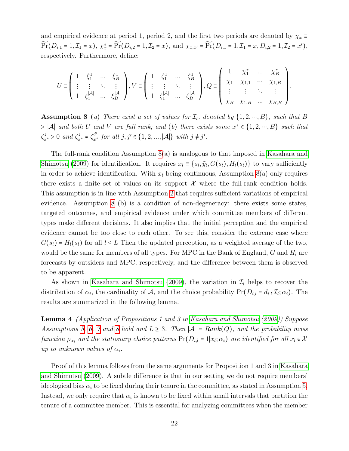and empirical evidence at period 1, period 2, and the first two periods are denoted by  $\chi_x$  =  $\widetilde{\Pr}(D_{i,1} = 1, \mathcal{I}_1 = x), \chi_x^* = \widetilde{\Pr}(D_{i,2} = 1, \mathcal{I}_2 = x)$ , and  $\chi_{x,x'} = \widetilde{\Pr}(D_{i,1} = 1, \mathcal{I}_1 = x, D_{i,2} = 1, \mathcal{I}_2 = x')$ , respectively. Furthermore, define:

$$
U \equiv \begin{pmatrix} 1 & \xi_1^1 & \dots & \xi_B^1 \\ \vdots & \vdots & \ddots & \vdots \\ 1 & \xi_1^{|\mathcal{A}|} & \dots & \xi_B^{|\mathcal{A}|} \end{pmatrix}, V \equiv \begin{pmatrix} 1 & \zeta_1^1 & \dots & \zeta_B^1 \\ \vdots & \vdots & \ddots & \vdots \\ 1 & \zeta_1^{|\mathcal{A}|} & \dots & \zeta_B^{|\mathcal{A}|} \end{pmatrix}, Q \equiv \begin{pmatrix} 1 & \chi_1^* & \dots & \chi_B^* \\ \chi_1 & \chi_{1,1} & \dots & \chi_{1,B} \\ \vdots & \vdots & \ddots & \vdots \\ \chi_B & \chi_{1,B} & \dots & \chi_{B,B} \end{pmatrix}.
$$

<span id="page-22-1"></span>**Assumption 8** (a) There exist a set of values for  $\mathcal{I}_l$ , denoted by  $\{1, 2, \cdots, B\}$ , such that B  $> |\mathcal{A}|$  and both U and V are full rank; and (b) there exists some  $x^* \in \{1, 2, \cdots, B\}$  such that  $\zeta_{x^*}^j > 0$  and  $\zeta_{x^*}^j \neq \zeta_{x^*}^{j'}$  for all  $j, j' \in \{1, 2, ..., |\mathcal{A}|\}$  with  $j \neq j'$ .

The full-rank condition Assumption [8\(](#page-22-1)a) is analogous to that imposed in [Kasahara and](#page-34-1) [Shimotsu](#page-34-1) [\(2009\)](#page-34-1) for identification. It requires  $x_l \equiv \{s_l, \tilde{y}_l, G(s_l), H_l(s_l)\}\;$  to vary sufficiently in order to achieve identification. With  $x_l$  being continuous, Assumption [8\(](#page-22-1)a) only requires there exists a finite set of values on its support  $\mathcal X$  where the full-rank condition holds. This assumption is in line with Assumption [2](#page-9-0) that requires sufficient variations of empirical evidence. Assumption [8](#page-22-1) (b) is a condition of non-degeneracy: there exists some states, targeted outcomes, and empirical evidence under which committee members of different types make different decisions. It also implies that the initial perception and the empirical evidence cannot be too close to each other. To see this, consider the extreme case where  $G(s_l) = H_l(s_l)$  for all  $l \leq L$  Then the updated perception, as a weighted average of the two, would be the same for members of all types. For MPC in the Bank of England,  $G$  and  $H_l$  are forecasts by outsiders and MPC, respectively, and the difference between them is observed to be apparent.

As shown in [Kasahara and Shimotsu](#page-34-1) [\(2009\)](#page-34-1), the variation in  $\mathcal{I}_l$  helps to recover the distribution of  $\alpha_i$ , the cardinality of A, and the choice probability  $Pr(D_{i,l} = d_{i,l} | \mathcal{I}_l; \alpha_i)$ . The results are summarized in the following lemma.

<span id="page-22-0"></span>Lemma 4 (Application of Propositions 1 and 3 in [Kasahara and Shimotsu](#page-34-1) [\(2009\)](#page-34-1)) Suppose Assumptions [5,](#page-16-1) [6,](#page-17-1) [7](#page-20-0) and [8](#page-22-1) hold and  $L \geq 3$ . Then  $|\mathcal{A}| = Rank(Q)$ , and the probability mass function  $\rho_{\alpha_i}$  and the stationary choice patterns  $Pr(D_{i,l}=1|x_l;\alpha_i)$  are identified for all  $x_l \in \mathcal{X}$ up to unknown values of  $\alpha_i$ .

Proof of this lemma follows from the same arguments for Proposition 1 and 3 in [Kasahara](#page-34-1) [and Shimotsu](#page-34-1) [\(2009\)](#page-34-1). A subtle difference is that in our setting we do not require members' ideological bias  $\alpha_i$  to be fixed during their tenure in the committee, as stated in Assumption [5.](#page-16-1) Instead, we only require that  $\alpha_i$  is known to be fixed within small intervals that partition the tenure of a committee member. This is essential for analyzing committees when the member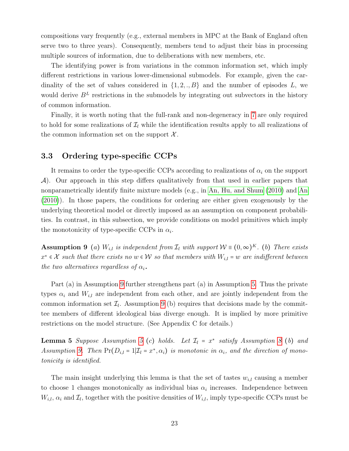compositions vary frequently (e.g., external members in MPC at the Bank of England often serve two to three years). Consequently, members tend to adjust their bias in processing multiple sources of information, due to deliberations with new members, etc.

The identifying power is from variations in the common information set, which imply different restrictions in various lower-dimensional submodels. For example, given the cardinality of the set of values considered in  $\{1, 2, \ldots, B\}$  and the number of episodes L, we would derive  $B<sup>L</sup>$  restrictions in the submodels by integrating out subvectors in the history of common information.

Finally, it is worth noting that the full-rank and non-degeneracy in [7](#page-20-0) are only required to hold for some realizations of  $\mathcal{I}_l$  while the identification results apply to all realizations of the common information set on the support  $\mathcal{X}$ .

#### <span id="page-23-0"></span>3.3 Ordering type-specific CCPs

It remains to order the type-specific CCPs according to realizations of  $\alpha_i$  on the support A). Our approach in this step differs qualitatively from that used in earlier papers that nonparametrically identify finite mixture models (e.g., in [An, Hu, and Shum](#page-33-9) [\(2010\)](#page-33-9) and [An](#page-33-10) [\(2010\)](#page-33-10)). In those papers, the conditions for ordering are either given exogenously by the underlying theoretical model or directly imposed as an assumption on component probabilities. In contrast, in this subsection, we provide conditions on model primitives which imply the monotonicity of type-specific CCPs in  $\alpha_i$ .

<span id="page-23-1"></span>**Assumption 9** (a)  $W_{i,l}$  is independent from  $\mathcal{I}_l$  with support  $\mathcal{W} \equiv (0, \infty)^K$ . (b) There exists  $x^* \in \mathcal{X}$  such that there exists no  $w \in \mathcal{W}$  so that members with  $W_{i,l} = w$  are indifferent between the two alternatives regardless of  $\alpha_i$ .

Part (a) in Assumption [9](#page-23-1) further strengthens part (a) in Assumption [5.](#page-16-1) Thus the private types  $\alpha_i$  and  $W_{i,l}$  are independent from each other, and are jointly independent from the common information set  $\mathcal{I}_l$ . Assumption [9](#page-23-1) (b) requires that decisions made by the committee members of different ideological bias diverge enough. It is implied by more primitive restrictions on the model structure. (See Appendix C for details.)

<span id="page-23-2"></span>**Lemma [5](#page-16-1)** Suppose Assumption 5 (c) holds. Let  $\mathcal{I}_l = x^*$  satisfy Assumption [8](#page-22-1) (b) and Assumption [9.](#page-23-1) Then  $Pr(D_{i,l} = 1 | \mathcal{I}_l = x^*, \alpha_i)$  is monotonic in  $\alpha_i$ , and the direction of monotonicity is identified.

The main insight underlying this lemma is that the set of tastes  $w_{i,l}$  causing a member to choose 1 changes monotonically as individual bias  $\alpha_i$  increases. Independence between  $W_{i,l}$ ,  $\alpha_i$  and  $\mathcal{I}_l$ , together with the positive densities of  $W_{i,l}$ , imply type-specific CCPs must be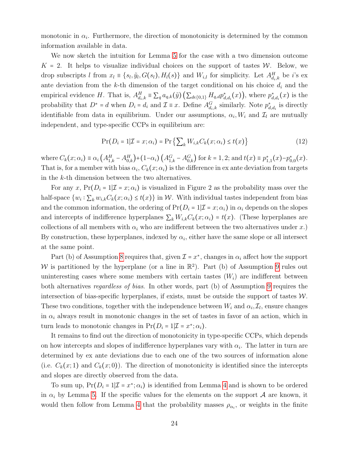monotonic in  $\alpha_i$ . Furthermore, the direction of monotonicity is determined by the common information available in data.

We now sketch the intuition for Lemma [5](#page-23-2) for the case with a two dimension outcome  $K = 2$ . It helps to visualize individual choices on the support of tastes W. Below, we drop subscripts l from  $x_l \equiv \{s_l, \tilde{y}_l, G(s_l), H_l(s)\}\$  and  $W_{i,l}$  for simplicity. Let  $A_{d_i,k}^H$  be i's ex ante deviation from the k-th dimension of the target conditional on his choice  $d_i$  and the empirical evidence H. That is,  $A_{d_i,k}^H \equiv \sum_q a_{q,k}(\tilde{y}) \left( \sum_{d \in \{0,1\}} H_{q,d} p_{d,d_i}^*(x) \right)$ , where  $p_{d,d_i}^*(x)$  is the probability that  $D^* = d$  when  $D_i = d_i$  and  $\mathcal{I} \equiv x$ . Define  $A_{d_i,k}^G$  similarly. Note  $p_{d,d_i}^*$  is directly identifiable from data in equilibrium. Under our assumptions,  $\alpha_i, W_i$  and  $\mathcal{I}_l$  are mutually independent, and type-specific CCPs in equilibrium are:

<span id="page-24-0"></span>
$$
\Pr(D_i = 1 | \mathcal{I} = x; \alpha_i) = \Pr\left\{ \sum_k W_{i,k} C_k(x; \alpha_i) \le t(x) \right\} \tag{12}
$$

where  $C_k(x; \alpha_i) \equiv \alpha_i \left( A_{1,k}^H - A_{0,k}^H \right) + (1 - \alpha_i) \left( A_{1,k}^G - A_{0,k}^G \right)$  for  $k = 1, 2$ ; and  $t(x) \equiv p_{1,1}^*(x) - p_{0,0}^*(x)$ . That is, for a member with bias  $\alpha_i$ ,  $C_k(x; \alpha_i)$  is the difference in ex ante deviation from targets in the k-th dimension between the two alternatives.

For any x,  $Pr(D_i = 1 | \mathcal{I} = x; \alpha_i)$  is visualized in Figure 2 as the probability mass over the half-space  $\{w_i : \sum_k w_{i,k} C_k(x; \alpha_i) \le t(x)\}$  in W. With individual tastes independent from bias and the common information, the ordering of  $Pr(D_i = 1 | \mathcal{I} = x; \alpha_i)$  in  $\alpha_i$  depends on the slopes and intercepts of indifference hyperplanes  $\sum_k W_{i,k}C_k(x;\alpha_i) = t(x)$ . (These hyperplanes are collections of all members with  $\alpha_i$  who are indifferent between the two alternatives under x.) By construction, these hyperplanes, indexed by  $\alpha_i$ , either have the same slope or all intersect at the same point.

Part (b) of Assumption [8](#page-22-1) requires that, given  $\mathcal{I} = x^*$ , changes in  $\alpha_i$  affect how the support W is partitioned by the hyperplane (or a line in  $\mathbb{R}^2$ ). Part (b) of Assumption [9](#page-23-1) rules out uninteresting cases where some members with certain tastes  $(W<sub>i</sub>)$  are indifferent between both alternatives regardless of bias. In other words, part (b) of Assumption [9](#page-23-1) requires the intersection of bias-specific hyperplanes, if exists, must be outside the support of tastes  $W$ . These two conditions, together with the independence between  $W_i$  and  $\alpha_i, \mathcal{I}_l$ , ensure changes in  $\alpha_i$  always result in monotonic changes in the set of tastes in favor of an action, which in turn leads to monotonic changes in  $Pr(D_i = 1 | \mathcal{I} = x^*; \alpha_i)$ .

It remains to find out the direction of monotonicity in type-specific CCPs, which depends on how intercepts and slopes of indifference hyperplanes vary with  $\alpha_i$ . The latter in turn are determined by ex ante deviations due to each one of the two sources of information alone (i.e.  $C_k(x; 1)$  and  $C_k(x; 0)$ ). The direction of monotonicity is identified since the intercepts and slopes are directly observed from the data.

To sum up,  $Pr(D_i = 1 | \mathcal{I} = x^*; \alpha_i)$  is identified from Lemma [4](#page-22-0) and is shown to be ordered in  $\alpha_i$  by Lemma [5.](#page-23-2) If the specific values for the elements on the support A are known, it would then follow from Lemma [4](#page-22-0) that the probability masses  $\rho_{\alpha_i}$ , or weights in the finite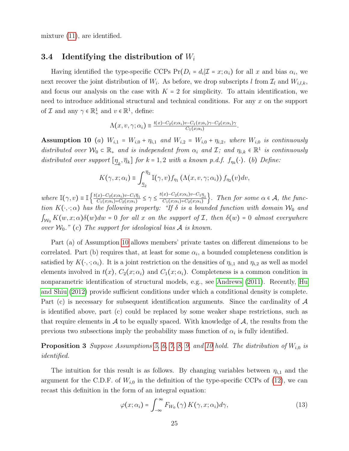mixture [\(11\)](#page-21-0), are identified.

#### <span id="page-25-0"></span>3.4 Identifying the distribution of  $W_i$

Having identified the type-specific CCPs  $Pr(D_i = d_i | \mathcal{I} = x; \alpha_i)$  for all x and bias  $\alpha_i$ , we next recover the joint distribution of  $W_i$ . As before, we drop subscripts l from  $\mathcal{I}_l$  and  $W_{i,l,k}$ , and focus our analysis on the case with  $K = 2$  for simplicity. To attain identification, we need to introduce additional structural and technical conditions. For any x on the support of  $\mathcal I$  and any  $\gamma \in \mathbb{R}^1_+$  and  $v \in \mathbb{R}^1$ , define:

$$
\Lambda(x, v, \gamma; \alpha_i) \equiv \frac{t(x) - C_2(x; \alpha_i)v - C_1(x; \alpha_i)\gamma - C_2(x; \alpha_i)\gamma}{C_1(x; \alpha_i)}.
$$

<span id="page-25-1"></span>**Assumption 10** (a)  $W_{i,1} = W_{i,0} + \eta_{i,1}$  and  $W_{i,2} = W_{i,0} + \eta_{i,2}$ , where  $W_{i,0}$  is continuously distributed over  $W_0 \subset \mathbb{R}_+$  and is independent from  $\alpha_i$  and  $\mathcal{I}$ ; and  $\eta_{i,k} \in \mathbb{R}^1$  is continuously distributed over support  $[\underline{\eta}_k, \overline{\eta}_k]$  for  $k = 1, 2$  with a known p.d.f.  $f_{\eta_k}(\cdot)$ . (b) Define:

$$
K(\gamma, x; \alpha_i) \equiv \int_{\underline{\eta}_2}^{\overline{\eta}_2} \mathbb{I}(\gamma, v) f_{\eta_1}(\Lambda(x, v, \gamma; \alpha_i)) f_{\eta_2}(v) dv,
$$

where  $\mathbb{I}(\gamma, v) \equiv \mathbb{I} \left\{ \frac{t(x) - C_2(x;\alpha_i)v - C_1\overline{\eta_1}}{C_1(x;\alpha_i)+C_2(x;\alpha_i)} \right\}$  $\frac{(x)-C_2(x;\alpha_i)v-C_1\overline{\eta}_1}{C_1(x;\alpha_i)+C_2(x;\alpha_i)} \leq \gamma \leq \frac{t(x)-C_2(x;\alpha_i)v-C_1\eta_1}{C_1(x;\alpha_i)+C_2(x;\alpha_i)}\bigg\}.$  Then for some  $\alpha \in \mathcal{A}$ , the function  $K(\cdot, \cdot; \alpha)$  has the following property: "If  $\delta$  is a bounded function with domain  $\mathcal{W}_0$  and  $\int_{\mathcal{W}_0} K(w, x; \alpha) \delta(w) dw = 0$  for all x on the support of I, then  $\delta(w) = 0$  almost everywhere over  $\mathcal{W}_0$ ." (c) The support for ideological bias A is known.

Part (a) of Assumption [10](#page-25-1) allows members' private tastes on different dimensions to be correlated. Part (b) requires that, at least for some  $\alpha_i$ , a bounded completeness condition is satisfied by  $K(\cdot, \cdot; \alpha_i)$ . It is a joint restriction on the densities of  $\eta_{i,1}$  and  $\eta_{i,2}$  as well as model elements involved in  $t(x)$ ,  $C_2(x;\alpha_i)$  and  $C_1(x;\alpha_i)$ . Completeness is a common condition in nonparametric identification of structural models, e.g., see [Andrews](#page-33-11) [\(2011\)](#page-33-11). Recently, [Hu](#page-34-11) [and Shiu](#page-34-11) [\(2012\)](#page-34-11) provide sufficient conditions under which a conditional density is complete. Part (c) is necessary for subsequent identification arguments. Since the cardinality of  $\mathcal A$ is identified above, part (c) could be replaced by some weaker shape restrictions, such as that require elements in  $\mathcal A$  to be equally spaced. With knowledge of  $\mathcal A$ , the results from the previous two subsections imply the probability mass function of  $\alpha_i$  is fully identified.

**Proposition 3** Suppose Assumptions [5,](#page-16-1) [6,](#page-17-1) [7,](#page-20-0) [8,](#page-22-1) [9,](#page-23-1) and [10](#page-25-1) hold. The distribution of  $W_{i,0}$  is identified.

The intuition for this result is as follows. By changing variables between  $\eta_{i,1}$  and the argument for the C.D.F. of  $W_{i,0}$  in the definition of the type-specific CCPs of [\(12\)](#page-24-0), we can recast this definition in the form of an integral equation:

<span id="page-25-2"></span>
$$
\varphi(x;\alpha_i) = \int_{-\infty}^{\infty} F_{W_0}(\gamma) K(\gamma, x; \alpha_i) d\gamma,
$$
\n(13)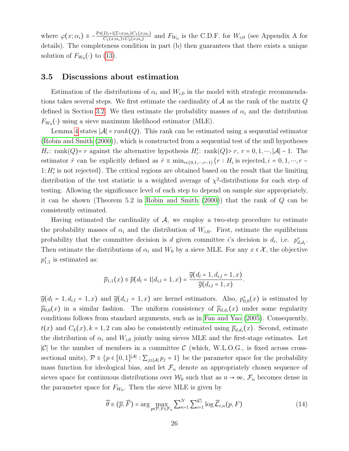where  $\varphi(x; \alpha_i) \equiv -\frac{\Pr(D_i=1|\mathcal{I}=x; \alpha_i)C_1(x;\alpha_i)}{C_1(x;\alpha_i)+C_2(x;\alpha_i)}$  $\frac{D_i=1|Z=x;\alpha_i|C_1(x;\alpha_i)}{C_1(x;\alpha_i)+C_2(x;\alpha_i)}$  and  $F_{W_0}$  is the C.D.F. for  $W_{i,0}$  (see Appendix A for details). The completeness condition in part (b) then guarantees that there exists a unique solution of  $F_{W_0}(\cdot)$  to [\(13\)](#page-25-2).

#### <span id="page-26-1"></span>3.5 Discussions about estimation

Estimation of the distributions of  $\alpha_i$  and  $W_{i,0}$  in the model with strategic recommendations takes several steps. We first estimate the cardinality of  $A$  as the rank of the matrix  $Q$ defined in Section [3.2.](#page-20-1) We then estimate the probability masses of  $\alpha_i$  and the distribution  $F_{W_0}(\cdot)$  using a sieve maximum likelihood estimator (MLE).

Lemma [4](#page-22-0) states  $|\mathcal{A}| = rank(Q)$ . This rank can be estimated using a sequential estimator [\(Robin and Smith](#page-35-2) [\(2000\)](#page-35-2)), which is constructed from a sequential test of the null hypotheses  $H_r$ : rank $(Q)$ = r against the alternative hypothesis  $H'_r$ : rank $(Q)$ > r, r = 0, 1, ···, |A| - 1. The estimator  $\hat{r}$  can be explicitly defined as  $\hat{r} \equiv \min_{r \in \{0,1,\dots,r-1\}} \{r : H_i \text{ is rejected}, i = 0,1,\dots,r-1\}$  $1; H'_{r}$  is not rejected. The critical regions are obtained based on the result that the limiting distribution of the test statistic is a weighted average of  $\chi^2$ -distributions for each step of testing. Allowing the significance level of each step to depend on sample size appropriately, it can be shown (Theorem 5.2 in [Robin and Smith](#page-35-2) [\(2000\)](#page-35-2)) that the rank of Q can be consistently estimated.

Having estimated the cardinality of  $A$ , we employ a two-step procedure to estimate the probability masses of  $\alpha_i$  and the distribution of  $W_{i,0}$ . First, estimate the equilibrium probability that the committee decision is d given committee i's decision is  $d_i$ , i.e.  $p^*_{d,d_i}$ . Then estimate the distributions of  $\alpha_i$  and  $W_0$  by a sieve MLE. For any  $x \in \mathcal{X}$ , the objective  $p_{1,1}^*$  is estimated as:

$$
\widehat{p}_{1,1}(x) \equiv \widehat{p}(d_l = 1|d_{i,l} = 1, x) = \frac{\widehat{g}(d_l = 1, d_{i,l} = 1, x)}{\widehat{g}(d_{i,l} = 1, x)}.
$$

 $\widehat{g}(d_l = 1, d_{i,l} = 1, x)$  and  $\widehat{g}(d_{i,l} = 1, x)$  are kernel estimators. Also,  $p_{0,0}^*(x)$  is estimated by  $\widehat{p}_{0,0}(x)$  in a similar fashion. The uniform consistency of  $\widehat{p}_{d,d_i}(x)$  under some regularity conditions follows from standard arguments, such as in [Fan and Yao](#page-33-12) [\(2005\)](#page-33-12). Consequently,  $t(x)$  and  $C_k(x)$ ,  $k = 1, 2$  can also be consistently estimated using  $\widehat{p}_{d,d_i}(x)$ . Second, estimate the distribution of  $\alpha_i$  and  $W_{i,0}$  jointly using sieves MLE and the first-stage estimates. Let  $|\mathcal{C}|$  be the number of members in a committee  $\mathcal{C}$  (which, W.L.O.G., is fixed across crosssectional units),  $\mathcal{P} \equiv \{p \in [0,1]^{|\mathcal{A}|} : \sum_{j \leq |\mathcal{A}|} p_j = 1\}$  be the parameter space for the probability mass function for ideological bias, and let  $\mathcal{F}_n$  denote an appropriately chosen sequence of sieves space for continuous distributions over  $W_0$  such that as  $n \to \infty$ ,  $\mathcal{F}_n$  becomes dense in the parameter space for  $F_{W_0}$ . Then the sieve MLE is given by

<span id="page-26-0"></span>
$$
\widehat{\theta} \equiv (\widehat{p}, \widehat{F}) = \arg \max_{p \in \mathcal{P}, F \in \mathcal{F}_n} \sum_{n=1}^{N} \sum_{i=1}^{|\mathcal{C}|} \log \widehat{\mathcal{L}}_{i,n}(p, F)
$$
(14)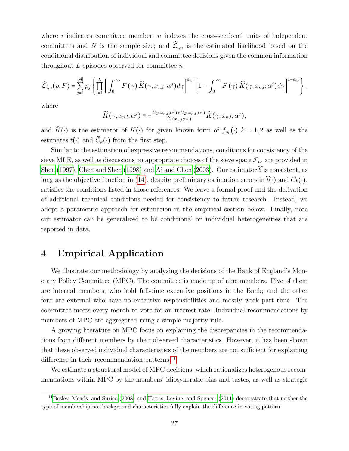where i indicates committee member,  $n$  indexes the cross-sectional units of independent committees and N is the sample size; and  $\widehat{\mathcal{L}}_{i,n}$  is the estimated likelihood based on the conditional distribution of individual and committee decisions given the common information throughout  $L$  episodes observed for committee  $n$ .

$$
\widehat{\mathcal{L}}_{i,n}(p,F)=\sum_{j=1}^{|\mathcal{A}|}p_j\left\{\prod_{l=1}^{L}\left[\int_0^{\infty}F(\gamma)\,\widetilde{K}(\gamma,x_{n,l};\alpha^j)d\gamma\right]^{d_{i,l}}\left[1-\int_0^{\infty}F(\gamma)\,\widetilde{K}(\gamma,x_{n,l};\alpha^j)d\gamma\right]^{1-d_{i,l}}\right\},\,
$$

where

$$
\widetilde{K}(\gamma, x_{n,l}; \alpha^j) \equiv -\frac{\widehat{C}_1(x_{n,l}; \alpha^j) + \widehat{C}_2(x_{n,l}; \alpha^j)}{\widehat{C}_1(x_{n,l}; \alpha^j)} \widehat{K}(\gamma, x_{n,l}; \alpha^j),
$$

and  $\widehat{K}(\cdot)$  is the estimator of  $K(\cdot)$  for given known form of  $f_{\eta_k}(\cdot), k = 1, 2$  as well as the estimates  $\widehat{t}(\cdot)$  and  $\widehat{C}_k(\cdot)$  from the first step.

Similar to the estimation of expressive recommendations, conditions for consistency of the sieve MLE, as well as discussions on appropriate choices of the sieve space  $\mathcal{F}_n$ , are provided in [Shen](#page-35-1) [\(1997\)](#page-35-1), [Chen and Shen](#page-33-4) [\(1998\)](#page-33-4) and [Ai and Chen](#page-33-5) [\(2003\)](#page-33-5). Our estimator  $\hat{\theta}$  is consistent, as long as the objective function in [\(14\)](#page-26-0), despite preliminary estimation errors in  $\hat{t}(\cdot)$  and  $\hat{C}_k(\cdot)$ , satisfies the conditions listed in those references. We leave a formal proof and the derivation of additional technical conditions needed for consistency to future research. Instead, we adopt a parametric approach for estimation in the empirical section below. Finally, note our estimator can be generalized to be conditional on individual heterogeneities that are reported in data.

## <span id="page-27-0"></span>4 Empirical Application

We illustrate our methodology by analyzing the decisions of the Bank of England's Monetary Policy Committee (MPC). The committee is made up of nine members. Five of them are internal members, who hold full-time executive positions in the Bank; and the other four are external who have no executive responsibilities and mostly work part time. The committee meets every month to vote for an interest rate. Individual recommendations by members of MPC are aggregated using a simple majority rule.

A growing literature on MPC focus on explaining the discrepancies in the recommendations from different members by their observed characteristics. However, it has been shown that these observed individual characteristics of the members are not sufficient for explaining difference in their recommendation patterns.<sup>[11](#page-1-0)</sup>

We estimate a structural model of MPC decisions, which rationalizes heterogenous recommendations within MPC by the members' idiosyncratic bias and tastes, as well as strategic

<sup>&</sup>lt;sup>11</sup>[Besley, Meads, and Surico](#page-33-7) [\(2008\)](#page-33-7) and [Harris, Levine, and Spencer](#page-34-12) [\(2011\)](#page-34-12) demonstrate that neither the type of membership nor background characteristics fully explain the difference in voting pattern.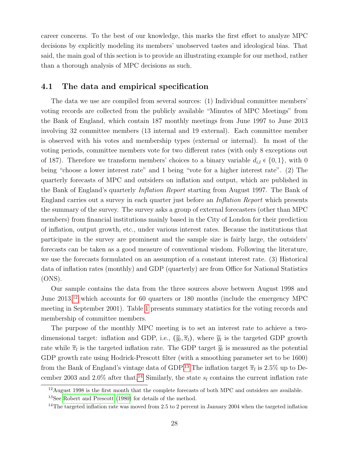career concerns. To the best of our knowledge, this marks the first effort to analyze MPC decisions by explicitly modeling its members' unobserved tastes and ideological bias. That said, the main goal of this section is to provide an illustrating example for our method, rather than a thorough analysis of MPC decisions as such.

#### <span id="page-28-0"></span>4.1 The data and empirical specification

The data we use are compiled from several sources: (1) Individual committee members' voting records are collected from the publicly available "Minutes of MPC Meetings" from the Bank of England, which contain 187 monthly meetings from June 1997 to June 2013 involving 32 committee members (13 internal and 19 external). Each committee member is observed with his votes and membership types (external or internal). In most of the voting periods, committee members vote for two different rates (with only 8 exceptions out of 187). Therefore we transform members' choices to a binary variable  $d_{i,l} \in \{0,1\}$ , with 0 being "choose a lower interest rate" and 1 being "vote for a higher interest rate". (2) The quarterly forecasts of MPC and outsiders on inflation and output, which are published in the Bank of England's quarterly Inflation Report starting from August 1997. The Bank of England carries out a survey in each quarter just before an Inflation Report which presents the summary of the survey. The survey asks a group of external forecasters (other than MPC members) from financial institutions mainly based in the City of London for their prediction of inflation, output growth, etc., under various interest rates. Because the institutions that participate in the survey are prominent and the sample size is fairly large, the outsiders' forecasts can be taken as a good measure of conventional wisdom. Following the literature, we use the forecasts formulated on an assumption of a constant interest rate. (3) Historical data of inflation rates (monthly) and GDP (quarterly) are from Office for National Statistics (ONS).

Our sample contains the data from the three sources above between August 1998 and June 2013,<sup>[12](#page-1-0)</sup> which accounts for 60 quarters or 180 months (include the emergency MPC meeting in September 2001). Table [1](#page-47-0) presents summary statistics for the voting records and membership of committee members.

The purpose of the monthly MPC meeting is to set an interest rate to achieve a twodimensional target: inflation and GDP, i.e.,  $(\tilde{y}_l, \tilde{\pi}_l)$ , where  $\tilde{y}_l$  is the targeted GDP growth rate while  $\tilde{\pi}_l$  is the targeted inflation rate. The GDP target  $\tilde{y}_l$  is measured as the potential GDP growth rate using Hodrick-Prescott filter (with a smoothing parameter set to be 1600) from the Bank of England's vintage data of GDP.<sup>[13](#page-1-0)</sup> The inflation target  $\tilde{\pi}_l$  is 2.5% up to De-cember 2003 and 2.0% after that.<sup>[14](#page-1-0)</sup> Similarly, the state  $s_l$  contains the current inflation rate

 $12$ August 1998 is the first month that the complete forecasts of both MPC and outsiders are available.

<sup>13</sup>See [Robert and Prescott](#page-35-3) [\(1980\)](#page-35-3) for details of the method.

<sup>&</sup>lt;sup>14</sup>The targeted inflation rate was moved from 2.5 to 2 percent in January 2004 when the targeted inflation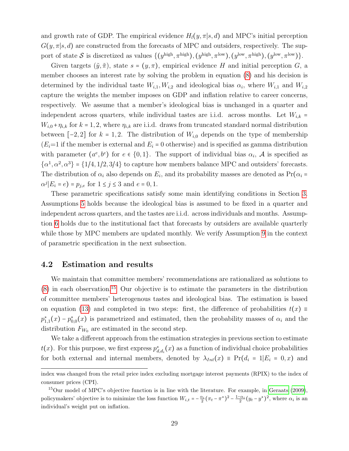and growth rate of GDP. The empirical evidence  $H_l(y, \pi | s, d)$  and MPC's initial perception  $G(y, \pi | s, d)$  are constructed from the forecasts of MPC and outsiders, respectively. The support of state S is discretized as values  $\{(y^{\text{high}}, \pi^{\text{high}}), (y^{\text{high}}, \pi^{\text{low}}), (y^{\text{low}}, \pi^{\text{high}}), (y^{\text{low}}, \pi^{\text{low}})\}.$ 

Given targets  $(\tilde{y}, \tilde{\pi})$ , state  $s = (y, \pi)$ , empirical evidence H and initial perception G, a member chooses an interest rate by solving the problem in equation [\(8\)](#page-17-0) and his decision is determined by the individual taste  $W_{i,1}, W_{i,2}$  and ideological bias  $\alpha_i$ , where  $W_{i,1}$  and  $W_{i,2}$ capture the weights the member imposes on GDP and inflation relative to career concerns, respectively. We assume that a member's ideological bias is unchanged in a quarter and independent across quarters, while individual tastes are i.i.d. across months. Let  $W_{i,k}$  =  $W_{i,0} + \eta_{i,k}$  for  $k = 1, 2$ , where  $\eta_{i,k}$  are i.i.d. draws from truncated standard normal distribution between  $[-2, 2]$  for  $k = 1, 2$ . The distribution of  $W_{i,0}$  depends on the type of membership  $(E_i=1$  if the member is external and  $E_i = 0$  otherwise) and is specified as gamma distribution with parameter  $(a^e, b^e)$  for  $e \in \{0, 1\}$ . The support of individual bias  $\alpha_i$ , A is specified as  $\{\alpha^1, \alpha^2, \alpha^3\}$  =  $\{1/4, 1/2, 3/4\}$  to capture how members balance MPC and outsiders' forecasts. The distribution of  $\alpha_i$  also depends on  $E_i$ , and its probability masses are denoted as  $Pr(\alpha_i =$  $\alpha^{j} | E_{i} = e$  =  $p_{j,e}$  for  $1 \leq j \leq 3$  and  $e = 0, 1$ .

These parametric specifications satisfy some main identifying conditions in Section [3.](#page-15-0) Assumptions [5](#page-16-1) holds because the ideological bias is assumed to be fixed in a quarter and independent across quarters, and the tastes are i.i.d. across individuals and months. Assumption [6](#page-17-1) holds due to the institutional fact that forecasts by outsiders are available quarterly while those by MPC members are updated monthly. We verify Assumption [9](#page-23-1) in the context of parametric specification in the next subsection.

#### <span id="page-29-0"></span>4.2 Estimation and results

We maintain that committee members' recommendations are rationalized as solutions to  $(8)$  in each observation.<sup>[15](#page-1-0)</sup> Our objective is to estimate the parameters in the distribution of committee members' heterogenous tastes and ideological bias. The estimation is based on equation [\(13\)](#page-25-2) and completed in two steps: first, the difference of probabilities  $t(x) \equiv$  $p_{1,1}^*(x) - p_{0,0}^*(x)$  is parametrized and estimated, then the probability masses of  $\alpha_i$  and the distribution  $F_{W_0}$  are estimated in the second step.

We take a different approach from the estimation strategies in previous section to estimate  $t(x)$ . For this purpose, we first express  $p_{d,d_i}^*(x)$  as a function of individual choice probabilities for both external and internal members, denoted by  $\lambda_{Int}(x) \equiv Pr(d_i = 1|E_i = 0, x)$  and

index was changed from the retail price index excluding mortgage interest payments (RPIX) to the index of consumer prices (CPI).

<sup>15</sup>Our model of MPC's objective function is in line with the literature. For example, in [Geraats](#page-33-13) [\(2009\)](#page-33-13), policymakers' objective is to minimize the loss function  $W_{i,t} = -\frac{\alpha_i}{2} (\pi_t - \pi^*)^2 - \frac{1-\alpha_i}{2} (y_t - y^*)^2$ , where  $\alpha_i$  is an individual's weight put on inflation.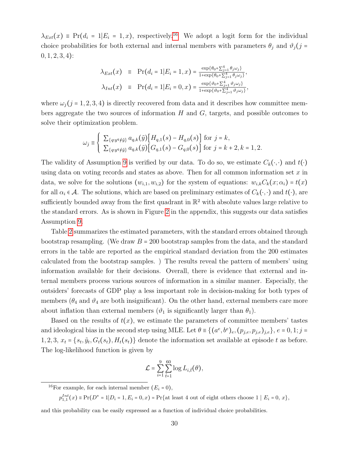$\lambda_{Ext}(x)$  = Pr( $d_i$  = 1|E<sub>i</sub> = 1, x), respectively.<sup>[16](#page-1-0)</sup> We adopt a logit form for the individual choice probabilities for both external and internal members with parameters  $\theta_j$  and  $\vartheta_j$  (j =  $0, 1, 2, 3, 4$ :

$$
\lambda_{Ext}(x) \equiv \Pr(d_i = 1 | E_i = 1, x) = \frac{\exp{\{\theta_0 + \sum_{j=1}^4 \theta_j \omega_j\}}}{1 + \exp{\{\theta_0 + \sum_{j=1}^4 \theta_j \omega_j\}}},
$$
  

$$
\lambda_{Int}(x) \equiv \Pr(d_i = 1 | E_i = 0, x) = \frac{\exp{\{\theta_0 + \sum_{j=1}^4 \theta_j \omega_j\}}}{1 + \exp{\{\theta_0 + \sum_{j=1}^4 \theta_j \omega_j\}}},
$$

where  $\omega_i$  (j = 1, 2, 3, 4) is directly recovered from data and it describes how committee members aggregate the two sources of information  $H$  and  $G$ , targets, and possible outcomes to solve their optimization problem.

$$
\omega_j \equiv \begin{cases} \sum_{\{q: y^q \neq \tilde{y}\}} a_{q,k}(\tilde{y}) \Big[ H_{q,1}(s) - H_{q,0}(s) \Big] \text{ for } j = k, \\ \sum_{\{q: y^q \neq \tilde{y}\}} a_{q,k}(\tilde{y}) \Big[ G_{q,1}(s) - G_{q,0}(s) \Big] \text{ for } j = k+2, k = 1, 2. \end{cases}
$$

The validity of Assumption [9](#page-23-1) is verified by our data. To do so, we estimate  $C_k(\cdot, \cdot)$  and  $t(\cdot)$ using data on voting records and states as above. Then for all common information set  $x$  in data, we solve for the solutions  $(w_{i,1}, w_{i,2})$  for the system of equations:  $w_{i,k}C_k(x; \alpha_i) = t(x)$ for all  $\alpha_i \in \mathcal{A}$ . The solutions, which are based on preliminary estimates of  $C_k(\cdot, \cdot)$  and  $t(\cdot)$ , are sufficiently bounded away from the first quadrant in  $\mathbb{R}^2$  with absolute values large relative to the standard errors. As is shown in Figure [2](#page-48-0) in the appendix, this suggests our data satisfies Assumption [9.](#page-23-1)

Table [2](#page-47-1) summarizes the estimated parameters, with the standard errors obtained through bootstrap resampling. (We draw  $B = 200$  bootstrap samples from the data, and the standard errors in the table are reported as the empirical standard deviation from the 200 estimates calculated from the bootstrap samples. ) The results reveal the pattern of members' using information available for their decisions. Overall, there is evidence that external and internal members process various sources of information in a similar manner. Especially, the outsiders' forecasts of GDP play a less important role in decision-making for both types of members ( $\theta_4$  and  $\theta_4$  are both insignificant). On the other hand, external members care more about inflation than external members ( $\vartheta_1$  is significantly larger than  $\theta_1$ ).

Based on the results of  $t(x)$ , we estimate the parameters of committee members' tastes and ideological bias in the second step using MLE. Let  $\theta \equiv \{(a^e, b^e)_e, (p_{j,e}, p_{j,e})_{j,e}\}, e = 0, 1; j =$ 1, 2, 3,  $x_t = \{s_t, \tilde{y}_t, G_t(s_t), H_t(s_t)\}\$  denote the information set available at episode t as before. The log-likelihood function is given by

$$
\mathcal{L} = \sum_{i=1}^{9} \sum_{\tilde{t}=1}^{60} \log L_{i,\tilde{t}}(\theta),
$$

<sup>16</sup>For example, for each internal member  $(E_i = 0)$ ,

 $p_{1,1}^{Int}(x)$  = Pr( $D^* = 1|D_i = 1, E_i = 0, x$ ) = Pr{at least 4 out of eight others choose 1 |  $E_i = 0, x$ },

and this probability can be easily expressed as a function of individual choice probabilities.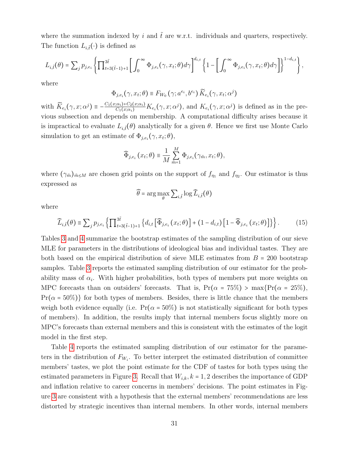where the summation indexed by i and  $\tilde{t}$  are w.r.t. individuals and quarters, respectively. The function  $L_{i,\tilde{t}}(\cdot)$  is defined as

$$
L_{i,\tilde{t}}(\theta) = \sum_{j} p_{j,e_i} \left\{ \prod_{t=3(\tilde{t}-1)+1}^{3\tilde{t}} \left[ \int_0^{\infty} \Phi_{j,e_i}(\gamma, x_t; \theta) d\gamma \right]^{d_{i,t}} \left\{ 1 - \left[ \int_0^{\infty} \Phi_{j,e_i}(\gamma, x_t; \theta) d\gamma \right] \right\}^{1-d_{i,t}} \right\},\,
$$

where

 $\Phi_{j,e_i}(\gamma, x_i; \theta) \equiv F_{W_0}(\gamma; a^{e_i}, b^{e_i}) \widetilde{K}_{e_i}(\gamma, x_i; \alpha^j)$ 

with  $\widetilde{K}_{e_i}(\gamma, x; \alpha^j) = -\frac{C_1(x; \alpha_i) + C_2(x; \alpha_i)}{C_1(x; \alpha_i)} K_{e_i}(\gamma, x; \alpha^j)$ , and  $K_{e_i}(\gamma, x; \alpha^j)$  is defined as in the previous subsection and depends on membership. A computational difficulty arises because it is impractical to evaluate  $L_{i,\tilde{t}}(\theta)$  analytically for a given  $\theta$ . Hence we first use Monte Carlo simulation to get an estimate of  $\Phi_{j,e_i}(\gamma, x_i; \theta)$ ,

$$
\widehat{\Phi}_{j,e_i}(x_t;\theta) \equiv \frac{1}{M} \sum_{\tilde{m}=1}^M \Phi_{j,e_i}(\gamma_{\tilde{m}},x_t;\theta),
$$

where  $(\gamma_{\tilde{m}})_{\tilde{m}\leq M}$  are chosen grid points on the support of  $f_{\eta_1}$  and  $f_{\eta_2}$ . Our estimator is thus expressed as

$$
\widehat{\theta} = \arg\max_{\theta} \sum_{i,\tilde{t}} \log \widehat{L}_{i,\tilde{t}}(\theta)
$$

where

$$
\widehat{L}_{i,\tilde{t}}(\theta) \equiv \sum_{j} p_{j,e_i} \left\{ \prod_{t=3(\tilde{t}-1)+1}^{3\tilde{t}} \left\{ d_{i,t} \left[ \widehat{\Phi}_{j,e_i} \left( x_t; \theta \right) \right] + (1 - d_{i,t}) \left[ 1 - \widehat{\Phi}_{j,e_i} \left( x_t; \theta \right) \right] \right\} \right\}.
$$
 (15)

Tables [3](#page-49-0) and [4](#page-49-1) summarize the bootstrap estimates of the sampling distribution of our sieve MLE for parameters in the distributions of ideological bias and individual tastes. They are both based on the empirical distribution of sieve MLE estimates from  $B = 200$  bootstrap samples. Table [3](#page-49-0) reports the estimated sampling distribution of our estimator for the probability mass of  $\alpha_i$ . With higher probabilities, both types of members put more weights on MPC forecasts than on outsiders' forecasts. That is,  $Pr(\alpha = 75\%) > max\{Pr(\alpha = 25\%)$ ,  $Pr(\alpha = 50\%)$  for both types of members. Besides, there is little chance that the members weigh both evidence equally (i.e.  $Pr(\alpha = 50\%)$  is not statistically significant for both types of members). In addition, the results imply that internal members focus slightly more on MPC's forecasts than external members and this is consistent with the estimates of the logit model in the first step.

Table [4](#page-49-1) reports the estimated sampling distribution of our estimator for the parameters in the distribution of  $F_{W_i}$ . To better interpret the estimated distribution of committee members' tastes, we plot the point estimate for the CDF of tastes for both types using the estimated parameters in Figure [3.](#page-48-1) Recall that  $W_{i,k}$ ,  $k = 1, 2$  describes the importance of GDP and inflation relative to career concerns in members' decisions. The point estimates in Figure [3](#page-48-1) are consistent with a hypothesis that the external members' recommendations are less distorted by strategic incentives than internal members. In other words, internal members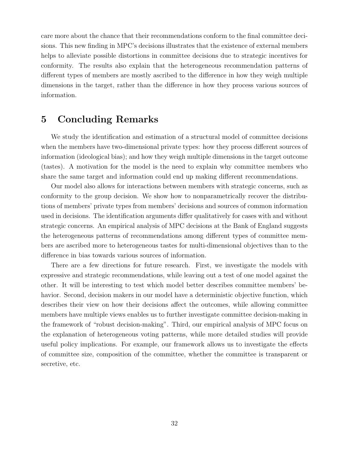care more about the chance that their recommendations conform to the final committee decisions. This new finding in MPC's decisions illustrates that the existence of external members helps to alleviate possible distortions in committee decisions due to strategic incentives for conformity. The results also explain that the heterogeneous recommendation patterns of different types of members are mostly ascribed to the difference in how they weigh multiple dimensions in the target, rather than the difference in how they process various sources of information.

## 5 Concluding Remarks

We study the identification and estimation of a structural model of committee decisions when the members have two-dimensional private types: how they process different sources of information (ideological bias); and how they weigh multiple dimensions in the target outcome (tastes). A motivation for the model is the need to explain why committee members who share the same target and information could end up making different recommendations.

Our model also allows for interactions between members with strategic concerns, such as conformity to the group decision. We show how to nonparametrically recover the distributions of members' private types from members' decisions and sources of common information used in decisions. The identification arguments differ qualitatively for cases with and without strategic concerns. An empirical analysis of MPC decisions at the Bank of England suggests the heterogeneous patterns of recommendations among different types of committee members are ascribed more to heterogeneous tastes for multi-dimensional objectives than to the difference in bias towards various sources of information.

There are a few directions for future research. First, we investigate the models with expressive and strategic recommendations, while leaving out a test of one model against the other. It will be interesting to test which model better describes committee members' behavior. Second, decision makers in our model have a deterministic objective function, which describes their view on how their decisions affect the outcomes, while allowing committee members have multiple views enables us to further investigate committee decision-making in the framework of "robust decision-making". Third, our empirical analysis of MPC focus on the explanation of heterogeneous voting patterns, while more detailed studies will provide useful policy implications. For example, our framework allows us to investigate the effects of committee size, composition of the committee, whether the committee is transparent or secretive, etc.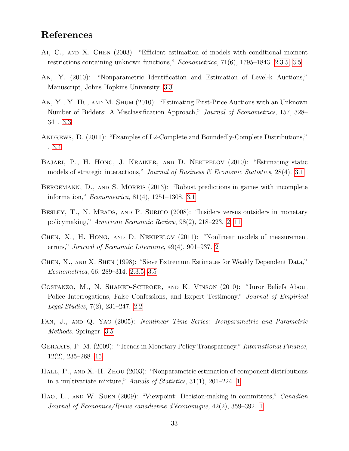## References

- <span id="page-33-5"></span>Ai, C., and X. Chen (2003): "Efficient estimation of models with conditional moment restrictions containing unknown functions," Econometrica, 71(6), 1795–1843. [2.3.5,](#page-15-1) [3.5](#page-26-0)
- <span id="page-33-10"></span>An, Y. (2010): "Nonparametric Identification and Estimation of Level-k Auctions," Manuscript, Johns Hopkins University. [3.3](#page-23-0)
- <span id="page-33-9"></span>An, Y., Y. Hu, and M. Shum (2010): "Estimating First-Price Auctions with an Unknown Number of Bidders: A Misclassification Approach," Journal of Econometrics, 157, 328– 341. [3.3](#page-23-0)
- <span id="page-33-11"></span>ANDREWS, D. (2011): "Examples of L2-Complete and Boundedly-Complete Distributions," . [3.4](#page-25-1)
- <span id="page-33-8"></span>Bajari, P., H. Hong, J. Krainer, and D. Nekipelov (2010): "Estimating static models of strategic interactions," Journal of Business  $\mathcal C$  Economic Statistics, 28(4). [3.1](#page-19-0)
- <span id="page-33-6"></span>BERGEMANN, D., AND S. MORRIS (2013): "Robust predictions in games with incomplete information," Econometrica, 81(4), 1251–1308. [3.1](#page-16-0)
- <span id="page-33-7"></span>BESLEY, T., N. MEADS, AND P. SURICO (2008): "Insiders versus outsiders in monetary policymaking," American Economic Review, 98(2), 218–223. [2,](#page-17-2) [11](#page-27-0)
- <span id="page-33-2"></span>Chen, X., H. Hong, and D. Nekipelov (2011): "Nonlinear models of measurement errors," Journal of Economic Literature, 49(4), 901–937. [2](#page-2-0)
- <span id="page-33-4"></span>Chen, X., and X. Shen (1998): "Sieve Extremum Estimates for Weakly Dependent Data," Econometrica, 66, 289–314. [2.3.5,](#page-15-1) [3.5](#page-26-0)
- <span id="page-33-3"></span>Costanzo, M., N. Shaked-Schroer, and K. Vinson (2010): "Juror Beliefs About Police Interrogations, False Confessions, and Expert Testimony," Journal of Empirical Legal Studies, 7(2), 231–247. [2.2](#page-7-0)
- <span id="page-33-12"></span>Fan, J., and Q. Yao (2005): Nonlinear Time Series: Nonparametric and Parametric Methods. Springer. [3.5](#page-26-1)
- <span id="page-33-13"></span>Geraats, P. M. (2009): "Trends in Monetary Policy Transparency," International Finance, 12(2), 235–268. [15](#page-29-0)
- <span id="page-33-0"></span>HALL, P., AND X.-H. ZHOU (2003): "Nonparametric estimation of component distributions in a multivariate mixture," Annals of Statistics, 31(1), 201–224. [1](#page-2-0)
- <span id="page-33-1"></span>Hao, L., and W. Suen (2009): "Viewpoint: Decision-making in committees," Canadian Journal of Economics/Revue canadienne d'économique,  $42(2)$ ,  $359-392$ . [1](#page-2-0)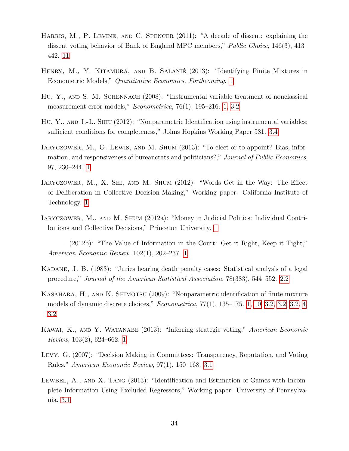- <span id="page-34-12"></span>Harris, M., P. Levine, and C. Spencer (2011): "A decade of dissent: explaining the dissent voting behavior of Bank of England MPC members," Public Choice, 146(3), 413– 442. [11](#page-27-0)
- <span id="page-34-7"></span>HENRY, M., Y. KITAMURA, AND B. SALANIÉ (2013): "Identifying Finite Mixtures in Econometric Models," Quantitative Economics, Forthcoming. [1](#page-2-0)
- <span id="page-34-0"></span>Hu, Y., and S. M. Schennach (2008): "Instrumental variable treatment of nonclassical measurement error models," Econometrica, 76(1), 195–216. [1,](#page-2-0) [3.2](#page-20-0)
- <span id="page-34-11"></span>HU, Y., AND J.-L. SHIU (2012): "Nonparametric Identification using instrumental variables: sufficient conditions for completeness," Johns Hopkins Working Paper 581. [3.4](#page-25-1)
- <span id="page-34-3"></span>Iaryczower, M., G. Lewis, and M. Shum (2013): "To elect or to appoint? Bias, information, and responsiveness of bureaucrats and politicians?," Journal of Public Economics, 97, 230–244. [1](#page-2-0)
- <span id="page-34-5"></span>Iaryczower, M., X. Shi, and M. Shum (2012): "Words Get in the Way: The Effect of Deliberation in Collective Decision-Making," Working paper: California Institute of Technology. [1](#page-2-0)
- <span id="page-34-4"></span>Iaryczower, M., and M. Shum (2012a): "Money in Judicial Politics: Individual Contributions and Collective Decisions," Princeton University. [1](#page-2-0)

<span id="page-34-2"></span>(2012b): "The Value of Information in the Court: Get it Right, Keep it Tight," American Economic Review, 102(1), 202–237. [1](#page-2-0)

- <span id="page-34-8"></span>Kadane, J. B. (1983): "Juries hearing death penalty cases: Statistical analysis of a legal procedure," Journal of the American Statistical Association, 78(383), 544–552. [2.2](#page-7-0)
- <span id="page-34-1"></span>Kasahara, H., and K. Shimotsu (2009): "Nonparametric identification of finite mixture models of dynamic discrete choices," Econometrica, 77(1), 135–175. [1,](#page-2-0) [10, 3.2,](#page-20-0) [3.2,](#page-21-0) [3.2,](#page-22-1) [4,](#page-22-0) [3.2](#page-22-0)
- <span id="page-34-6"></span>Kawai, K., and Y. Watanabe (2013): "Inferring strategic voting," American Economic Review, 103(2), 624–662. [1](#page-2-0)
- <span id="page-34-9"></span>Levy, G. (2007): "Decision Making in Committees: Transparency, Reputation, and Voting Rules," American Economic Review, 97(1), 150–168. [3.1](#page-16-0)
- <span id="page-34-10"></span>LEWBEL, A., AND X. TANG (2013): "Identification and Estimation of Games with Incomplete Information Using Excluded Regressors," Working paper: University of Pennsylvania. [3.1](#page-19-0)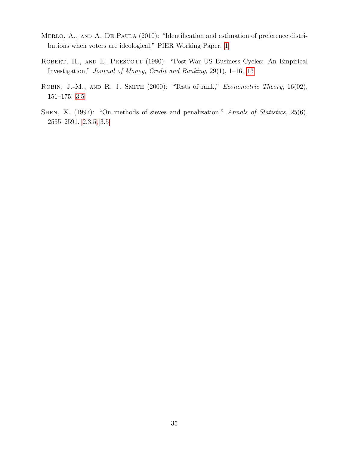- <span id="page-35-0"></span>MERLO, A., AND A. DE PAULA (2010): "Identification and estimation of preference distributions when voters are ideological," PIER Working Paper. [1](#page-2-0)
- <span id="page-35-3"></span>ROBERT, H., AND E. PRESCOTT (1980): "Post-War US Business Cycles: An Empirical Investigation," Journal of Money, Credit and Banking, 29(1), 1–16. [13](#page-28-0)
- <span id="page-35-2"></span>ROBIN, J.-M., AND R. J. SMITH (2000): "Tests of rank," *Econometric Theory*, 16(02), 151–175. [3.5](#page-26-1)
- <span id="page-35-1"></span>SHEN, X. (1997): "On methods of sieves and penalization," Annals of Statistics, 25(6), 2555–2591. [2.3.5,](#page-15-1) [3.5](#page-26-0)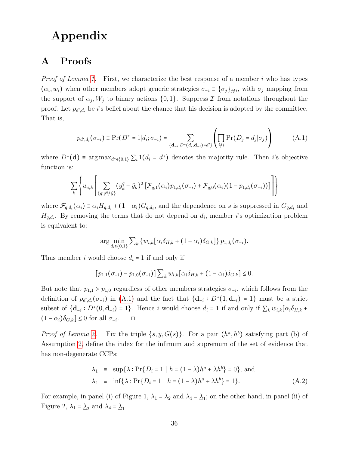## Appendix

## A Proofs

*Proof of Lemma [1.](#page-8-0)* First, we characterize the best response of a member i who has types  $(\alpha_i, w_i)$  when other members adopt generic strategies  $\sigma_{-i} \equiv {\sigma_j}_{j \neq i}$ , with  $\sigma_j$  mapping from the support of  $\alpha_j, W_j$  to binary actions  $\{0, 1\}$ . Suppress  $\mathcal I$  from notations throughout the proof. Let  $p_{d',d_i}$  be i's belief about the chance that his decision is adopted by the committee. That is,

<span id="page-36-0"></span>
$$
p_{d',d_i}(\sigma_{-i}) \equiv \Pr(D^* = 1 | d_i; \sigma_{-i}) = \sum_{\{\mathbf{d}_{-i}:D^*(d_i, \mathbf{d}_{-i}) = d'\}} \left( \prod_{j \neq i} \Pr(D_j = d_j | \sigma_j) \right)
$$
(A.1)

where  $D^*(d) \equiv \arg \max_{d^* \in \{0,1\}} \sum_i \mathbb{1}(d_i = d^*)$  denotes the majority rule. Then i's objective function is:

$$
\sum_{k}\left\{w_{i,k}\left[\sum_{\{q:y^q\neq \tilde{y}\}}(y_k^q-\tilde{y}_k)^2\left[\mathcal{F}_{q,1}(\alpha_i)p_{1,d_i}(\sigma_{-i})+\mathcal{F}_{q,0}(\alpha_i)(1-p_{1,d_i}(\sigma_{-i}))\right]\right]\right\}
$$

where  $\mathcal{F}_{q,d_i}(\alpha_i) \equiv \alpha_i H_{q,d_i} + (1 - \alpha_i) G_{q,d_i}$ , and the dependence on s is suppressed in  $G_{q,d_i}$  and  $H_{q,d_i}$ . By removing the terms that do not depend on  $d_i$ , member i's optimization problem is equivalent to:

$$
\arg\min_{d_i\in\{0,1\}} \sum_k \left\{ w_{i,k} \big[ \alpha_i \delta_{H,k} + (1-\alpha_i) \delta_{G,k} \big] \right\} p_{1,d_i}(\sigma_{-i}).
$$

Thus member i would choose  $d_i = 1$  if and only if

$$
[p_{1,1}(\sigma_{-i}) - p_{1,0}(\sigma_{-i})] \sum_{k} w_{i,k} [\alpha_i \delta_{H,k} + (1 - \alpha_i) \delta_{G,k}] \le 0.
$$

But note that  $p_{1,1} > p_{1,0}$  regardless of other members strategies  $\sigma_{-i}$ , which follows from the definition of  $p_{d',d_i}(\sigma_{-i})$  in [\(A.1\)](#page-36-0) and the fact that  $\{d_{-i}: D^*(1, d_{-i}) = 1\}$  must be a strict subset of  $\{d_{-i}: D^*(0, d_{-i}) = 1\}$ . Hence i would choose  $d_i = 1$  if and only if  $\sum_k w_{i,k} [\alpha_i \delta_{H,k} +$  $(1 - \alpha_i)\delta_{G,k}$  ≤ 0 for all  $\sigma_{-i}$ .  $\Box$ 

*Proof of Lemma [2.](#page-12-1)* Fix the triple  $\{s, \tilde{y}, G(s)\}\$ . For a pair  $(h^a, h^b)$  satisfying part (b) of Assumption [2,](#page-9-0) define the index for the infimum and supremum of the set of evidence that has non-degenerate CCPs:

<span id="page-36-1"></span>
$$
\lambda_1 \equiv \sup \{ \lambda : \Pr \{ D_i = 1 \mid h = (1 - \lambda) h^a + \lambda h^b \} = 0 \}; \text{ and}
$$
  
\n
$$
\lambda_4 \equiv \inf \{ \lambda : \Pr \{ D_i = 1 \mid h = (1 - \lambda) h^a + \lambda h^b \} = 1 \}.
$$
\n(A.2)

For example, in panel (i) of Figure 1,  $\lambda_1 = \lambda_2$  and  $\lambda_4 = \lambda_1$ ; on the other hand, in panel (ii) of Figure 2,  $\lambda_1 = \underline{\lambda}_2$  and  $\lambda_4 = \underline{\lambda}_1$ .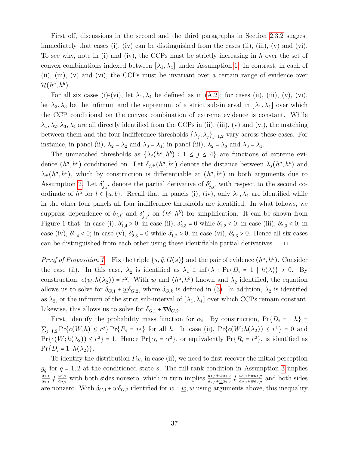First off, discussions in the second and the third paragraphs in Section [2.3.2](#page-11-0) suggest immediately that cases (i), (iv) can be distinguished from the cases (ii), (iii), (v) and (vi). To see why, note in (i) and (iv), the CCPs must be strictly increasing in h over the set of convex combinations indexed between  $[\lambda_1, \lambda_4]$  under Assumption [1.](#page-6-2) In contrast, in each of (ii), (iii), (v) and (vi), the CCPs must be invariant over a certain range of evidence over  $\mathcal{H}(h^a,h^b).$ 

For all six cases (i)-(vi), let  $\lambda_1, \lambda_4$  be defined as in [\(A.2\)](#page-36-1); for cases (ii), (iii), (v), (vi), let  $\lambda_2, \lambda_3$  be the infimum and the supremum of a strict sub-interval in  $[\lambda_1, \lambda_4]$  over which the CCP conditional on the convex combination of extreme evidence is constant. While  $\lambda_1, \lambda_2, \lambda_3, \lambda_4$  are all directly identified from the CCPs in (ii), (iii), (v) and (vi), the matching between them and the four indifference thresholds  $\{\underline{\lambda}_j, \lambda_j\}_{j=1,2}$  vary across these cases. For instance, in panel (ii),  $\lambda_2 = \lambda_2$  and  $\lambda_3 = \lambda_1$ ; in panel (iii),  $\lambda_2 = \underline{\lambda}_2$  and  $\lambda_3 = \lambda_1$ .

The unmatched thresholds as  $\{\lambda_j(h^a, h^b) : 1 \leq j \leq 4\}$  are functions of extreme evidence  $(h^a, h^b)$  conditioned on. Let  $\delta_{j,j'}(h^a, h^b)$  denote the distance between  $\lambda_j(h^a, h^b)$  and  $\lambda_{j'}(h^a, h^b)$ , which by construction is differentiable at  $(h^a, h^b)$  in both arguments due to Assumption [2.](#page-9-0) Let  $\delta'_{j,j'}$  denote the partial derivative of  $\delta'_{j,j'}$  with respect to the second coordinate of  $h^a$  for  $l \in \{a, b\}$ . Recall that in panels (i), (iv), only  $\lambda_1, \lambda_4$  are identified while in the other four panels all four indifference thresholds are identified. In what follows, we suppress dependence of  $\delta_{j,j'}$  and  $\delta'_{j,j'}$  on  $(h^a, h^b)$  for simplification. It can be shown from Figure 1 that: in case (i),  $\delta'_{1,4} > 0$ ; in case (ii),  $\delta'_{2,3} = 0$  while  $\delta'_{1,2} < 0$ ; in case (iii),  $\delta'_{2,3} < 0$ ; in case (iv),  $\delta'_{1,4} < 0$ ; in case (v),  $\delta'_{2,3} = 0$  while  $\delta'_{1,2} > 0$ ; in case (vi),  $\delta'_{2,3} > 0$ . Hence all six cases can be distinguished from each other using these identifiable partial derivatives.  $\Box$ 

*Proof of Proposition [1.](#page-13-0)* Fix the triple  $\{s, \tilde{y}, G(s)\}\$ and the pair of evidence  $(h^a, h^b)$ . Consider the case (ii). In this case,  $\lambda_2$  is identified as  $\lambda_1 \equiv \inf \{ \lambda : \Pr \{ D_i = 1 \mid h(\lambda) \} > 0$ . By construction,  $c(\underline{w}; h(\underline{\lambda}_2)) = r^2$ . With  $\underline{w}$  and  $(h^a, h^b)$  known and  $\underline{\lambda}_2$  identified, the equation allows us to solve for  $\delta_{G,1} + \underline{w} \delta_{G,2}$ , where  $\delta_{G,k}$  is defined in [\(3\)](#page-8-1). In addition,  $\lambda_2$  is identified as  $\lambda_2$ , or the infimum of the strict sub-interval of  $[\lambda_1, \lambda_4]$  over which CCPs remain constant. Likewise, this allows us to solve for  $\delta_{G,1} + \overline{w} \delta_{G,2}$ .

First, identify the probability mass function for  $\alpha_i$ . By construction,  $Pr\{D_i = 1 | h\}$  $\sum_{j=1,2} \Pr\{c(W,h) \leq r^j\} \Pr\{R_i = r^j\}$  for all h. In case (ii),  $\Pr\{c(W; h(\lambda_2)) \leq r^1\} = 0$  and  $Pr\{c(W; h(\lambda_2)) \le r^2\} = 1$ . Hence  $Pr\{\alpha_i = \alpha^2\}$ , or equivalently  $Pr\{R_i = r^2\}$ , is identified as  $Pr{D_i = 1 | h(\lambda_2)}$ .

To identify the distribution  $F_{W_i}$  in case (ii), we need to first recover the initial perception  $g_q$  for  $q = 1, 2$  at the conditioned state s. The full-rank condition in Assumption [3](#page-12-0) implies  $a_{1,1}$  $\frac{a_{1,1}}{a_{2,1}} \neq \frac{a_{1,2}}{a_{2,2}}$  $\frac{a_{1,2}}{a_{2,2}}$  with both sides nonzero, which in turn implies  $\frac{a_{1,1}+w a_{1,2}}{a_{2,1}+w a_{2,2}} \neq \frac{a_{1,1}+\overline{w} a_{1,2}}{a_{2,1}+\overline{w} a_{2,2}}$  $\frac{a_{1,1}+wa_{1,2}}{a_{2,1}+\overline{wa}_{2,2}}$  and both sides are nonzero. With  $\delta_{G,1} + w \delta_{G,2}$  identified for  $w = w, \overline{w}$  using arguments above, this inequality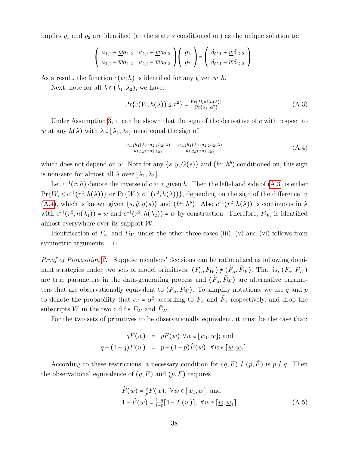implies  $g_1$  and  $g_2$  are identified (at the state s conditioned on) as the unique solution to:

$$
\left(\begin{array}{cc} a_{1,1} + \underline{w}a_{1,2} & a_{2,1} + \underline{w}a_{2,2} \\ a_{1,1} + \overline{w}a_{1,2} & a_{2,1} + \overline{w}a_{2,2} \end{array}\right) \left(\begin{array}{c} g_1 \\ g_2 \end{array}\right) = \left(\begin{array}{c} \delta_{G,1} + \underline{w} \delta_{G,2} \\ \delta_{G,1} + \overline{w} \delta_{G,2} \end{array}\right).
$$

As a result, the function  $c(w; h)$  is identified for any given  $w, h$ .

Next, note for all  $\lambda \in (\lambda_1, \lambda_2)$ , we have:

<span id="page-38-0"></span>
$$
\Pr\{c(W, h(\lambda)) \le r^2\} = \frac{\Pr\{D_i = 1 | h(\lambda)\}}{\Pr\{\alpha_i = \alpha^2\}}.\tag{A.3}
$$

Under Assumption [3,](#page-12-0) it can be shown that the sign of the derivative of  $c$  with respect to w at any  $h(\lambda)$  with  $\lambda \in [\lambda_1, \lambda_2]$  must equal the sign of

<span id="page-38-1"></span>
$$
\frac{a_{1,1}h_1(\lambda) + a_{2,1}h_2(\lambda)}{a_{1,1}g_1 + a_{2,1}g_2} - \frac{a_{1,2}h_1(\lambda) + a_{2,2}h_2(\lambda)}{a_{1,2}g_1 + a_{2,2}g_2} \tag{A.4}
$$

which does not depend on w. Note for any  $\{s, \tilde{y}, G(s)\}\$  and  $(h^a, h^b)$  conditioned on, this sign is non-zero for almost all  $\lambda$  over  $[\lambda_1, \lambda_2]$ .

Let  $c^{-1}(r, h)$  denote the inverse of c at r given h. Then the left-hand side of  $(A.3)$  is either  $Pr{W_i \leq c^{-1}(r^2, h(\lambda))}$  or  $Pr{W \geq c^{-1}(r^2, h(\lambda))}$ , depending on the sign of the difference in [\(A.4\)](#page-38-1), which is known given  $\{s, \tilde{y}, g(s)\}\$  and  $(h^a, h^b)$ . Also  $c^{-1}(r^2, h(\lambda))$  is continuous in  $\lambda$ with  $c^{-1}(r^2, h(\lambda_1)) = \underline{w}$  and  $c^{-1}(r^2, h(\lambda_2)) = \overline{w}$  by construction. Therefore,  $F_{W_i}$  is identified almost everywhere over its support  $W$ .

Identification of  $F_{\alpha_i}$  and  $F_{W_i}$  under the other three cases (iii), (v) and (vi) follows from symmetric arguments.  $□$ 

Proof of Proposition [2.](#page-15-2) Suppose members' decisions can be rationalized as following dominant strategies under two sets of model primitives:  $(F_{\alpha}, F_W) \neq (\tilde{F}_{\alpha}, \tilde{F}_W)$ . That is,  $(F_{\alpha}, F_W)$ are true parameters in the data-generating process and  $(\tilde{F}_{\alpha}, \tilde{F}_{W})$  are alternative parameters that are observationally equivalent to  $(F_{\alpha}, F_{W})$ . To simplify notations, we use q and p to denote the probability that  $\alpha_i = \alpha^2$  according to  $F_\alpha$  and  $\tilde{F}_\alpha$  respectively, and drop the subscripts W in the two c.d.f.s  $F_W$  and  $F_W$ .

For the two sets of primitives to be observationally equivalent, it must be the case that:

$$
qF(w) = p\tilde{F}(w) \forall w \in [\overline{w}_1, \overline{w}]; \text{ and}
$$
  

$$
q + (1-q)F(w) = p + (1-p)\tilde{F}(w), \forall w \in [\underline{w}, \underline{w}_1].
$$

According to these restrictions, a necessary condition for  $(q, F) \neq (p, \tilde{F})$  is  $p \neq q$ . Then the observational equivalence of  $(q, F)$  and  $(p, \tilde{F})$  requires

<span id="page-38-2"></span>
$$
\tilde{F}(w) = \frac{q}{p} F(w), \ \forall w \in [\overline{w}_1, \overline{w}]; \text{ and}
$$
\n
$$
1 - \tilde{F}(w) = \frac{1-q}{1-p} [1 - F(w)], \ \forall w \in [\underline{w}, \underline{w}_1].
$$
\n(A.5)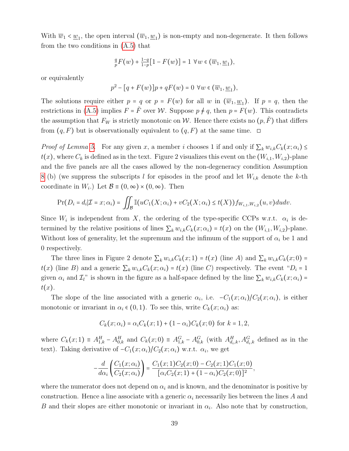With  $\overline{w}_1 < \underline{w}_1$ , the open interval  $(\overline{w}_1, \underline{w}_1)$  is non-empty and non-degenerate. It then follows from the two conditions in [\(A.5\)](#page-38-2) that

$$
\frac{q}{p}F(w) + \frac{1-q}{1-p}[1 - F(w)] = 1 \ \forall w \in (\overline{w}_1, \underline{w}_1),
$$

or equivalently

$$
p^{2} - [q + F(w)]p + qF(w) = 0 \,\forall w \in (\overline{w}_{1}, \underline{w}_{1}),
$$

The solutions require either  $p = q$  or  $p = F(w)$  for all w in  $(\overline{w}_1, \underline{w}_1)$ . If  $p = q$ , then the restrictions in [\(A.5\)](#page-38-2) implies  $F = \tilde{F}$  over W. Suppose  $p \neq q$ , then  $p = F(w)$ . This contradicts the assumption that  $F_W$  is strictly monotonic on W. Hence there exists no  $(p, F)$  that differs from  $(q, F)$  but is observationally equivalent to  $(q, F)$  at the same time.  $\Box$ 

*Proof of Lemma [5.](#page-23-2)* For any given x, a member i chooses 1 if and only if  $\sum_k w_{i,k}C_k(x;\alpha_i) \leq$  $t(x)$ , where  $C_k$  is defined as in the text. Figure 2 visualizes this event on the  $(W_{i,1}, W_{i,2})$ -plane and the five panels are all the cases allowed by the non-degeneracy condition Assumption [8](#page-22-1) (b) (we suppress the subscripts l for episodes in the proof and let  $W_{i,k}$  denote the k-th coordinate in  $W_i$ .) Let  $\mathcal{B} \equiv (0, \infty) \times (0, \infty)$ . Then

$$
\Pr(D_i = d_i | \mathcal{I} = x; \alpha_i) = \iint_{\mathcal{B}} \mathbb{I}(uC_1(X; \alpha_i) + vC_2(X; \alpha_i) \leq t(X)) f_{W_{i,1}, W_{i,2}}(u, v) du dv.
$$

Since  $W_i$  is independent from X, the ordering of the type-specific CCPs w.r.t.  $\alpha_i$  is determined by the relative positions of lines  $\sum_k w_{i,k}C_k(x;\alpha_i) = t(x)$  on the  $(W_{i,1}, W_{i,2})$ -plane. Without loss of generality, let the supremum and the infimum of the support of  $\alpha_i$  be 1 and 0 respectively.

The three lines in Figure 2 denote  $\sum_k w_{i,k}C_k(x; 1) = t(x)$  (line A) and  $\sum_k w_{i,k}C_k(x; 0) =$  $t(x)$  (line B) and a generic  $\sum_k w_{i,k}C_k(x;\alpha_i) = t(x)$  (line C) respectively. The event " $D_i = 1$ given  $\alpha_i$  and  $\mathcal{I}_l$ " is shown in the figure as a half-space defined by the line  $\sum_k w_{i,k}C_k(x;\alpha_i)$  =  $t(x)$ .

The slope of the line associated with a generic  $\alpha_i$ , i.e.  $-C_1(x;\alpha_i)/C_2(x;\alpha_i)$ , is either monotonic or invariant in  $\alpha_i \in (0,1)$ . To see this, write  $C_k(x; \alpha_i)$  as:

$$
C_k(x; \alpha_i) = \alpha_i C_k(x; 1) + (1 - \alpha_i) C_k(x; 0)
$$
 for  $k = 1, 2$ ,

where  $C_k(x; 1) \equiv A_{1,k}^H - A_{0,k}^H$  and  $C_k(x; 0) \equiv A_{1,k}^G - A_{0,k}^G$  (with  $A_{d_i,k}^H, A_{d_i,k}^G$  defined as in the text). Taking derivative of  $-C_1(x; \alpha_i)/C_2(x; \alpha_i)$  w.r.t.  $\alpha_i$ , we get

$$
-\frac{d}{d\alpha_i}\left(\frac{C_1(x;\alpha_i)}{C_2(x;\alpha_i)}\right) = \frac{C_1(x;1)C_2(x;0) - C_2(x;1)C_1(x;0)}{[\alpha_i C_2(x;1) + (1-\alpha_i)C_2(x;0)]^2},
$$

where the numerator does not depend on  $\alpha_i$  and is known, and the denominator is positive by construction. Hence a line associate with a generic  $\alpha_i$  necessarily lies between the lines A and B and their slopes are either monotonic or invariant in  $\alpha_i$ . Also note that by construction,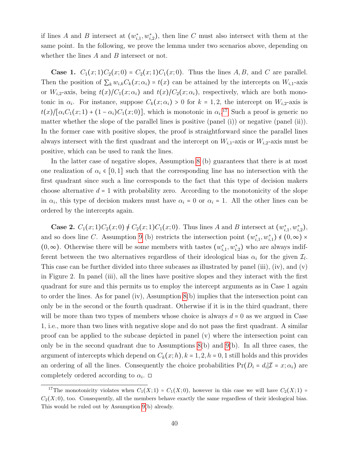if lines A and B intersect at  $(w_{i,1}^*, w_{i,2}^*)$ , then line C must also intersect with them at the same point. In the following, we prove the lemma under two scenarios above, depending on whether the lines A and B intersect or not.

**Case 1.**  $C_1(x; 1)C_2(x; 0) = C_2(x; 1)C_1(x; 0)$ . Thus the lines A, B, and C are parallel. Then the position of  $\sum_k w_{i,k}C_k(x;\alpha_i) = t(x)$  can be attained by the intercepts on  $W_{i,1}$ -axis or  $W_{i,2}$ -axis, being  $t(x)/C_1(x;\alpha_i)$  and  $t(x)/C_2(x;\alpha_i)$ , respectively, which are both monotonic in  $\alpha_i$ . For instance, suppose  $C_k(x; \alpha_i) > 0$  for  $k = 1, 2$ , the intercept on  $W_{i,2}$ -axis is  $t(x)/[\alpha_i C_1(x;1)+(1-\alpha_i)C_1(x;0)]$ , which is monotonic in  $\alpha_i$ <sup>[17](#page-1-0)</sup> Such a proof is generic no matter whether the slope of the parallel lines is positive (panel (i)) or negative (panel (ii)). In the former case with positive slopes, the proof is straightforward since the parallel lines always intersect with the first quadrant and the intercept on  $W_{i,1}$ -axis or  $W_{i,2}$ -axis must be positive, which can be used to rank the lines.

In the latter case of negative slopes, Assumption [8](#page-22-1) (b) guarantees that there is at most one realization of  $\alpha_i \in [0,1]$  such that the corresponding line has no intersection with the first quadrant since such a line corresponds to the fact that this type of decision makers choose alternative  $d = 1$  with probability zero. According to the monotonicity of the slope in  $\alpha_i$ , this type of decision makers must have  $\alpha_i = 0$  or  $\alpha_i = 1$ . All the other lines can be ordered by the intercepts again.

**Case 2.**  $C_1(x; 1)C_2(x; 0) \neq C_2(x; 1)C_1(x; 0)$ . Thus lines A and B intersect at  $(w_{i,1}^*, w_{i,2}^*)$ , and so does line C. Assumption [9](#page-23-1) (b) restricts the intersection point  $(w_{i,1}^*, w_{i,1}^*) \notin (0, \infty) \times$  $(0, \infty)$ . Otherwise there will be some members with tastes  $(w_{i,1}^*, w_{i,2}^*)$  who are always indifferent between the two alternatives regardless of their ideological bias  $\alpha_i$  for the given  $\mathcal{I}_l$ . This case can be further divided into three subcases as illustrated by panel (iii), (iv), and (v) in Figure 2. In panel (iii), all the lines have positive slopes and they interact with the first quadrant for sure and this permits us to employ the intercept arguments as in Case 1 again to order the lines. As for panel (iv), Assumption [8\(](#page-22-1)b) implies that the intersection point can only be in the second or the fourth quadrant. Otherwise if it is in the third quadrant, there will be more than two types of members whose choice is always  $d = 0$  as we argued in Case 1, i.e., more than two lines with negative slope and do not pass the first quadrant. A similar proof can be applied to the subcase depicted in panel  $(v)$  where the intersection point can only be in the second quadrant due to Assumptions [8\(](#page-22-1)b) and [9\(](#page-23-1)b). In all three cases, the argument of intercepts which depend on  $C_k(x; h)$ ,  $k = 1, 2, h = 0, 1$  still holds and this provides an ordering of all the lines. Consequently the choice probabilities  $Pr(D_i = d_i | \mathcal{I} = x; \alpha_i)$  are completely ordered according to  $\alpha_i$ .  $\Box$ 

<sup>&</sup>lt;sup>17</sup>The monotonicity violates when  $C_1(X; 1) = C_1(X; 0)$ , however in this case we will have  $C_2(X; 1) =$  $C_2(X; 0)$ , too. Consequently, all the members behave exactly the same regardless of their ideological bias. This would be ruled out by Assumption [9\(](#page-23-1)b) already.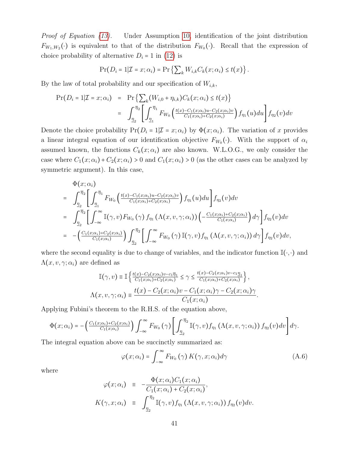Proof of Equation [\(13\)](#page-25-2). Under Assumption [10,](#page-25-1) identification of the joint distribution  $F_{W_1,W_2}(\cdot)$  is equivalent to that of the distribution  $F_{W_0}(\cdot)$ . Recall that the expression of choice probability of alternative  $D_i = 1$  in [\(12\)](#page-24-0) is

$$
\Pr(D_i = 1 | \mathcal{I} = x; \alpha_i) = \Pr\left\{ \sum_k W_{i,k} C_k(x; \alpha_i) \le t(x) \right\}.
$$

By the law of total probability and our specification of  $W_{i,k}$ ,

$$
\Pr(D_i = 1 | \mathcal{I} = x; \alpha_i) = \Pr \left\{ \sum_k (W_{i,0} + \eta_{i,k}) C_k(x; \alpha_i) \le t(x) \right\}
$$

$$
= \int_{\underline{\eta}_2}^{\overline{\eta}_2} \left[ \int_{\underline{\eta}_1}^{\overline{\eta}_1} F_{W_0} \left( \frac{t(x) - C_1(x; \alpha_i)u - C_2(x; \alpha_i)v}{C_1(x; \alpha_i) + C_2(x; \alpha_i)} \right) f_{\eta_1}(u) du \right] f_{\eta_2}(v) dv
$$

Denote the choice probability  $Pr(D_i = 1 | \mathcal{I} = x; \alpha_i)$  by  $\Phi(x; \alpha_i)$ . The variation of x provides a linear integral equation of our identification objective  $F_{W_0}(\cdot)$ . With the support of  $\alpha_i$ assumed known, the functions  $C_k(x; \alpha_i)$  are also known. W.L.O.G., we only consider the case where  $C_1(x; \alpha_i) + C_2(x; \alpha_i) > 0$  and  $C_1(x; \alpha_i) > 0$  (as the other cases can be analyzed by symmetric argument). In this case,

$$
\Phi(x;\alpha_i)
$$
\n
$$
= \int_{\underline{\eta}_2}^{\overline{\eta}_2} \left[ \int_{\underline{\eta}_1}^{\overline{\eta}_1} F_{W_0} \left( \frac{t(x) - C_1(x;\alpha_i)u - C_2(x;\alpha_i)v}{C_1(x;\alpha_i) + C_2(x;\alpha_i)} \right) f_{\eta_1}(u) du \right] f_{\eta_2}(v) dv
$$
\n
$$
= \int_{\underline{\eta}_2}^{\overline{\eta}_2} \left[ \int_{-\infty}^{\infty} \mathbb{I}(\gamma, v) F_{W_0}(\gamma) f_{\eta_1} \left( \Lambda(x, v, \gamma; \alpha_i) \right) \left( -\frac{C_1(x;\alpha_i) + C_2(x;\alpha_i)}{C_1(x;\alpha_i)} \right) d\gamma \right] f_{\eta_2}(v) dv
$$
\n
$$
= -\left( \frac{C_1(x;\alpha_i) + C_2(x;\alpha_i)}{C_1(x;\alpha_i)} \right) \int_{\underline{\eta}_2}^{\overline{\eta}_2} \left[ \int_{-\infty}^{\infty} F_{W_0}(\gamma) \mathbb{I}(\gamma, v) f_{\eta_1} \left( \Lambda(x, v, \gamma; \alpha_i) \right) d\gamma \right] f_{\eta_2}(v) dv,
$$

where the second equality is due to change of variables, and the indicator function  $\mathbb{I}(\cdot, \cdot)$  and  $\Lambda(x, v, \gamma; \alpha_i)$  are defined as

$$
\mathbb{I}(\gamma, v) \equiv \mathbb{I}\left\{\frac{t(x)-C_2(x;\alpha_i)v-c_1\overline{\eta}_1}{C_1(x;\alpha_i)+C_2(x;\alpha_i)} \leq \gamma \leq \frac{t(x)-C_2(x;\alpha_i)v-c_1\overline{\eta}_1}{C_1(x;\alpha_i)+C_2(x;\alpha_i)}\right\},\
$$

$$
\Lambda(x, v, \gamma; \alpha_i) \equiv \frac{t(x)-C_2(x;\alpha_i)v-C_1(x;\alpha_i)\gamma-C_2(x;\alpha_i)\gamma}{C_1(x;\alpha_i)}.
$$

Applying Fubini's theorem to the R.H.S. of the equation above,

$$
\Phi(x;\alpha_i) = -\left(\frac{C_1(x;\alpha_i)+C_2(x;\alpha_i)}{C_1(x;\alpha_i)}\right)\int_{-\infty}^{\infty} F_{W_0}(\gamma)\left[\int_{\underline{\eta}_2}^{\overline{\eta}_2} \mathbb{I}(\gamma,v)f_{\eta_1}\left(\Lambda(x,v,\gamma;\alpha_i)\right)f_{\eta_2}(v)dv\right]d\gamma.
$$

The integral equation above can be succinctly summarized as:

$$
\varphi(x;\alpha_i) = \int_{-\infty}^{\infty} F_{W_0}(\gamma) K(\gamma, x; \alpha_i) d\gamma
$$
 (A.6)

where

$$
\varphi(x;\alpha_i) = -\frac{\Phi(x;\alpha_i)C_1(x;\alpha_i)}{C_1(x;\alpha_i) + C_2(x;\alpha_i)},
$$
  

$$
K(\gamma, x; \alpha_i) = \int_{\underline{\eta}_2}^{\overline{\eta}_2} \mathbb{I}(\gamma, v) f_{\eta_1}(\Lambda(x, v, \gamma; \alpha_i)) f_{\eta_2}(v) dv.
$$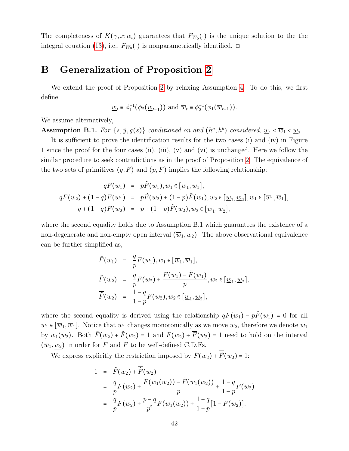The completeness of  $K(\gamma, x; \alpha_i)$  guarantees that  $F_{W_0}(\cdot)$  is the unique solution to the the integral equation [\(13\)](#page-25-2), i.e.,  $F_{W_0}(\cdot)$  is nonparametrically identified.  $\Box$ 

## B Generalization of Proposition [2](#page-15-2)

We extend the proof of Proposition [2](#page-15-2) by relaxing Assumption [4.](#page-14-0) To do this, we first define

$$
\underline{w}_t \equiv \phi_1^{-1}(\phi_2(\underline{w}_{t-1})) \text{ and } \overline{w}_t \equiv \phi_2^{-1}(\phi_1(\overline{w}_{t-1})).
$$

We assume alternatively,

Assumption B.1. For  $\{s, \tilde{y}, g(s)\}$  conditioned on and  $(h^a, h^b)$  considered,  $\underline{w}_1 < \overline{w}_1 < \underline{w}_2$ .

It is sufficient to prove the identification results for the two cases (i) and (iv) in Figure 1 since the proof for the four cases (ii), (iii), (v) and (vi) is unchanged. Here we follow the similar procedure to seek contradictions as in the proof of Proposition [2.](#page-15-2) The equivalence of the two sets of primitives  $(q, F)$  and  $(p, F)$  implies the following relationship:

$$
qF(w_1) = p\tilde{F}(w_1), w_1 \in [\overline{w}_1, \overline{w}_1],
$$
  
\n
$$
qF(w_2) + (1-q)F(w_1) = p\tilde{F}(w_2) + (1-p)\tilde{F}(w_1), w_2 \in [\underline{w}_1, \underline{w}_2], w_1 \in [\overline{w}_1, \overline{w}_1],
$$
  
\n
$$
q + (1-q)F(w_2) = p + (1-p)\tilde{F}(w_2), w_2 \in [\underline{w}_1, \underline{w}_2],
$$

where the second equality holds due to Assumption B.1 which guarantees the existence of a non-degenerate and non-empty open interval  $(\overline{w}_1, w_2)$ . The above observational equivalence can be further simplified as,

$$
\tilde{F}(w_1) = \frac{q}{p} F(w_1), w_1 \in [\overline{w}_1, \overline{w}_1],
$$
\n
$$
\tilde{F}(w_2) = \frac{q}{p} F(w_2) + \frac{F(w_1) - \tilde{F}(w_1)}{p}, w_2 \in [\underline{w}_1, \underline{w}_2],
$$
\n
$$
\overline{\tilde{F}}(w_2) = \frac{1 - q}{1 - p} \overline{F}(w_2), w_2 \in [\underline{w}_1, \underline{w}_2],
$$

where the second equality is derived using the relationship  $qF(w_1) - p\tilde{F}(w_1) = 0$  for all  $w_1 \in [\overline{w}_1,\overline{w}_1]$ . Notice that  $w_1$  changes monotonically as we move  $w_2$ , therefore we denote  $w_1$ by  $w_1(w_2)$ . Both  $\tilde{F}(w_2) + \overline{\tilde{F}}(w_2) = 1$  and  $F(w_2) + \overline{F}(w_2) = 1$  need to hold on the interval  $(\overline{w}_1, \underline{w}_2)$  in order for  $\tilde{F}$  and  $F$  to be well-defined C.D.Fs.

We express explicitly the restriction imposed by  $\tilde{F}(w_2) + \overline{\tilde{F}}(w_2) = 1$ :

$$
1 = \tilde{F}(w_2) + \tilde{F}(w_2)
$$
  
\n
$$
= \frac{q}{p}F(w_2) + \frac{F(w_1(w_2)) - \tilde{F}(w_1(w_2))}{p} + \frac{1-q}{1-p}\overline{F}(w_2)
$$
  
\n
$$
= \frac{q}{p}F(w_2) + \frac{p-q}{p^2}F(w_1(w_2)) + \frac{1-q}{1-p}[1 - F(w_2)].
$$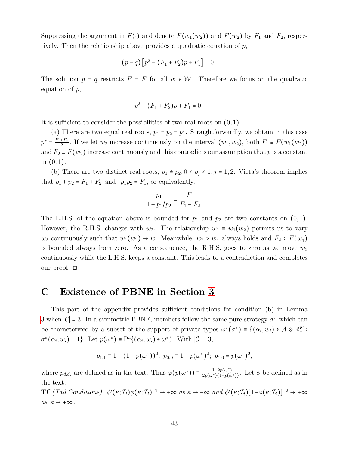Suppressing the argument in  $F(\cdot)$  and denote  $F(w_1(w_2))$  and  $F(w_2)$  by  $F_1$  and  $F_2$ , respectively. Then the relationship above provides a quadratic equation of  $p$ ,

$$
(p-q)\left[p^2 - (F_1 + F_2)p + F_1\right] = 0.
$$

The solution  $p = q$  restricts  $F = \tilde{F}$  for all  $w \in \mathcal{W}$ . Therefore we focus on the quadratic equation of  $p$ ,

$$
p^2 - (F_1 + F_2)p + F_1 = 0.
$$

It is sufficient to consider the possibilities of two real roots on  $(0, 1)$ .

(a) There are two equal real roots,  $p_1 = p_2 = p^*$ . Straightforwardly, we obtain in this case  $p^* = \frac{F_1 + F_2}{2}$ <sup>+F<sub>2</sub></sub>. If we let  $w_2$  increase continuously on the interval  $(\overline{w}_1, \underline{w}_2)$ , both  $F_1 \equiv F(w_1(w_2))$ </sup> and  $F_2 \equiv F(w_2)$  increase continuously and this contradicts our assumption that p is a constant in  $(0, 1)$ .

(b) There are two distinct real roots,  $p_1 \neq p_2, 0 < p_j < 1, j = 1, 2$ . Vieta's theorem implies that  $p_1 + p_2 = F_1 + F_2$  and  $p_1 p_2 = F_1$ , or equivalently,

$$
\frac{p_1}{1 + p_1/p_2} = \frac{F_1}{F_1 + F_2}.
$$

The L.H.S. of the equation above is bounded for  $p_1$  and  $p_2$  are two constants on  $(0, 1)$ . However, the R.H.S. changes with  $w_2$ . The relationship  $w_1 \equiv w_1(w_2)$  permits us to vary  $w_2$  continuously such that  $w_1(w_2) \to \underline{w}$ . Meanwhile,  $w_2 > \underline{w}_1$  always holds and  $F_2 > F(\underline{w}_1)$ is bounded always from zero. As a consequence, the R.H.S. goes to zero as we move  $w_2$ continuously while the L.H.S. keeps a constant. This leads to a contradiction and completes our proof. □

## C Existence of PBNE in Section [3](#page-15-0)

This part of the appendix provides sufficient conditions for condition (b) in Lemma [3](#page-19-1) when  $|\mathcal{C}| = 3$ . In a symmetric PBNE, members follow the same pure strategy  $\sigma^*$  which can be characterized by a subset of the support of private types  $\omega^*(\sigma^*) \equiv \{(\alpha_i, w_i) \in \mathcal{A} \otimes \mathbb{R}^K_+ :$  $\sigma^*(\alpha_i, w_i) = 1$ . Let  $p(\omega^*) \equiv \Pr\{(\alpha_i, w_i) \in \omega^* \}$ . With  $|\mathcal{C}| = 3$ ,

$$
p_{1,1} \equiv 1 - (1 - p(\omega^*))^2
$$
;  $p_{0,0} \equiv 1 - p(\omega^*)^2$ ;  $p_{1,0} = p(\omega^*)^2$ ,

where  $p_{d,d_i}$  are defined as in the text. Thus  $\varphi(p(\omega^*)) \equiv \frac{-1+2p(\omega^*)}{2p(\omega^*)(1-p(\omega^*))}$ . Let  $\phi$  be defined as in the text.

 $TC(Tail\ Conditions). \phi'(\kappa;\mathcal{I}_l)\phi(\kappa;\mathcal{I}_l)^{-2} \rightarrow +\infty \ as \ \kappa \rightarrow -\infty \ and \ \phi'(\kappa;\mathcal{I}_l)[1-\phi(\kappa;\mathcal{I}_l)]^{-2} \rightarrow +\infty$ as  $\kappa \to +\infty$ .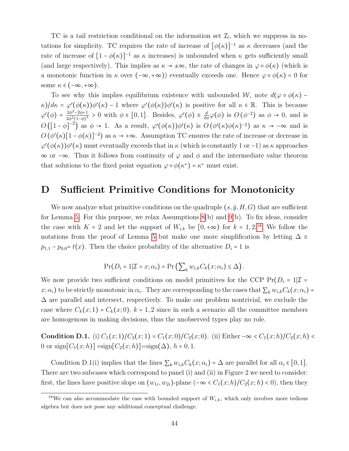TC is a tail restriction conditional on the information set  $\mathcal{I}_l$ , which we suppress in notations for simplicity. TC requires the rate of increase of  $\lceil \phi(\kappa) \rceil^{-1}$  as  $\kappa$  decreases (and the rate of increase of  $[1 - \phi(\kappa)]^{-1}$  as  $\kappa$  increases) is unbounded when  $\kappa$  gets sufficiently small (and large respectively). This implies as  $\kappa \to \pm \infty$ , the rate of changes in  $\varphi \circ \phi(\kappa)$  (which is a monotonic function in  $\kappa$  over  $(-\infty, +\infty)$  eventually exceeds one. Hence  $\varphi \circ \phi(\kappa) = 0$  for some  $\kappa \in (-\infty, +\infty)$ .

To see why this implies equilibrium existence with unbounded W, note  $d(\varphi \circ \phi(\kappa))$  $\kappa$ )/d $\kappa = \varphi'(\phi(\kappa))\phi'(\kappa) - 1$  where  $\varphi'(\phi(\kappa))\phi'(\kappa)$  is positive for all  $\kappa \in \mathbb{R}$ . This is because  $\varphi'(\phi) = \frac{2\phi^2 - 2\phi + 1}{2\phi^2(1-\phi)^2}$  $\frac{2\phi^2-2\phi+1}{2\phi^2(1-\phi)^2} > 0$  with  $\phi \in [0,1]$ . Besides,  $\varphi'(\phi) \equiv \frac{d}{d\phi}\varphi(\phi)$  is  $O(\phi^{-2})$  as  $\phi \to 0$ , and is  $O([1-\phi]^{-2})$  as  $\phi \to 1$ . As a result,  $\varphi'(\phi(\kappa))\phi'(\kappa)$  is  $O(\phi'(\kappa)\phi(\kappa)^{-2})$  as  $\kappa \to -\infty$  and is  $O(\phi'(\kappa)[1-\phi(\kappa)]^{-2})$  as  $\kappa \to +\infty$ . Assumption TC ensures the rate of increase or decrease in  $\varphi'(\phi(\kappa))\phi'(\kappa)$  must eventually exceeds that in  $\kappa$  (which is constantly 1 or -1) as  $\kappa$  approaches  $\infty$  or  $-\infty$ . Thus it follows from continuity of  $\varphi$  and  $\phi$  and the intermediate value theorem that solutions to the fixed point equation  $\varphi \circ \phi(\kappa^*) = \kappa^*$  must exist.

## D Sufficient Primitive Conditions for Monotonicity

We now analyze what primitive conditions on the quadruple  $(s, \tilde{y}, H, G)$  that are sufficient for Lemma [5.](#page-23-2) For this purpose, we relax Assumptions [8\(](#page-22-1)b) and [9\(](#page-23-1)b). To fix ideas, consider the case with  $K = 2$  and let the support of  $W_{i,k}$  be  $[0, +\infty)$  for  $k = 1, 2$ .<sup>[18](#page-1-0)</sup> We follow the notations from the proof of Lemma [5](#page-23-2) but make one more simplification by letting  $\Delta \equiv$  $p_{1,1} - p_{0,0} = t(x)$ . Then the choice probability of the alternative  $D_i = 1$  is

$$
\Pr(D_i = 1 | \mathcal{I} = x; \alpha_i) = \Pr\left(\sum_k w_{i,k} C_k(x; \alpha_i) \leq \Delta\right).
$$

We now provide two sufficient conditions on model primitives for the CCP Pr( $D_i = 1/\mathcal{I} =$  $(x; \alpha_i)$  to be strictly monotonic in  $\alpha_i$ . They are corresponding to the cases that  $\sum_k w_{i,k} C_k(x; \alpha_i) =$  $\Delta$  are parallel and intersect, respectively. To make our problem nontrivial, we exclude the case where  $C_k(x; 1) = C_k(x; 0)$ ,  $k = 1, 2$  since in such a scenario all the committee members are homogenous in making decisions, thus the unobserved types play no role.

Condition D.1. (i)  $C_1(x; 1)/C_2(x; 1) = C_1(x; 0)/C_2(x; 0)$ . (ii) Either  $-\infty < C_1(x; h)/C_2(x; h)$ 0 or sign $[C_1(x; h)] = sign[C_2(x; h)] = sign(\Delta), h = 0, 1.$ 

Condition D.1(i) implies that the lines  $\sum_k w_{i,k}C_k(x;\alpha_i) = \Delta$  are parallel for all  $\alpha_i \in [0,1]$ . There are two subcases which correspond to panel (i) and (ii) in Figure 2 we need to consider: first, the lines have positive slope on  $(w_{1i}, w_{2i})$ -plane  $(-\infty < C_1(x; h)/C_2(x; h) < 0)$ , then they

<sup>&</sup>lt;sup>18</sup>We can also accommodate the case with bounded support of  $W_{i,k}$ , which only involves more tedious algebra but does not pose any additional conceptual challenge.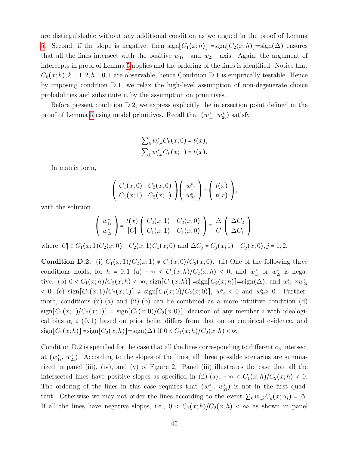are distinguishable without any additional condition as we argued in the proof of Lemma [5.](#page-23-2) Second, if the slope is negative, then  $\text{sign}[C_1(x; h)] = \text{sign}[C_2(x; h)] = \text{sign}(\Delta)$  ensures that all the lines intersect with the positive  $w_{1i}$ − and  $w_{2i}$ − axis. Again, the argument of intercepts in proof of Lemma [5](#page-23-2) applies and the ordering of the lines is identified. Notice that  $C_k(x; h)$ ,  $k = 1, 2, h = 0, 1$  are observable, hence Condition D.1 is empirically testable. Hence by imposing condition D.1, we relax the high-level assumption of non-degenerate choice probabilities and substitute it by the assumption on primitives.

Before present condition D.2, we express explicitly the intersection point defined in the proof of Lemma [5](#page-23-2) using model primitives. Recall that  $(w_{1i}^*, w_{2i}^*)$  satisfy

$$
\sum_{k} w_{i,k}^{*} C_{k}(x; 0) = t(x),
$$
  

$$
\sum_{k} w_{i,k}^{*} C_{k}(x; 1) = t(x).
$$

In matrix form,

$$
\left(\begin{array}{cc}C_1(x;0)&C_2(x;0)\\C_1(x;1)&C_2(x;1)\end{array}\right)\left(\begin{array}{c}w_{1i}^*\\w_{2i}^*\end{array}\right)=\left(\begin{array}{c}t(x)\\t(x)\end{array}\right),
$$

with the solution

$$
\left(\begin{array}{c}w_{1i}^*\\w_{2i}^*\end{array}\right)=\frac{t(x)}{|C|}\left(\begin{array}{c}C_2(x;1)-C_2(x;0)\\C_1(x;1)-C_1(x;0)\end{array}\right)\equiv\frac{\Delta}{|C|}\left(\begin{array}{c}\Delta C_2\\ \Delta C_1\end{array}\right),
$$

where  $|C| \equiv C_1(x; 1)C_2(x; 0) - C_2(x; 1)C_1(x; 0)$  and  $\Delta C_j = C_j(x; 1) - C_j(x; 0), j = 1, 2$ .

**Condition D.2.** (i)  $C_1(x; 1)/C_2(x; 1) \neq C_1(x; 0)/C_2(x; 0)$ . (ii) One of the following three conditions holds, for  $h = 0, 1$  (a)  $-\infty < C_1(x; h)/C_2(x; h) < 0$ , and  $w_{1i}^*$  or  $w_{2i}^*$  is negative. (b)  $0 < C_1(x; h)/C_2(x; h) < \infty$ ,  $\text{sign}[C_1(x; h)] = \text{sign}[C_2(x; h)] = \text{sign}(\Delta)$ , and  $w_{1i}^* \times w_{2i}^*$  $< 0.$  (c)  $sign[C_1(x; 1)/C_2(x; 1)] \neq sign[C_1(x; 0)/C_2(x; 0)], w_{1i}^* < 0$  and  $w_{2i}^* > 0$ . Furthermore, conditions (ii)-(a) and (ii)-(b) can be combined as a more intuitive condition (d)  $sign[C_1(x; 1)/C_2(x; 1)] = sign[C_1(x; 0)/C_2(x; 0)]$ , decision of any member i with ideological bias  $\alpha_i \in (0,1)$  based on prior belief differs from that on on empirical evidence, and  $\text{sign}[C_1(x; h)] = \text{sign}[C_2(x; h)] = \text{sign}(\Delta) \text{ if } 0 < C_1(x; h) / C_2(x; h) < \infty.$ 

Condition D.2 is specified for the case that all the lines corresponding to different  $\alpha_i$  intersect at  $(w_{1i}^*, w_{2i}^*)$ . According to the slopes of the lines, all three possible scenarios are summarized in panel (iii), (iv), and (v) of Figure 2. Panel (iii) illustrates the case that all the intersected lines have positive slopes as specified in (ii)-(a),  $-\infty < C_1(x; h)/C_2(x; h) < 0$ . The ordering of the lines in this case requires that  $(w_{1i}^*, w_{2i}^*)$  is not in the first quadrant. Otherwise we may not order the lines according to the event  $\sum_k w_{i,k}C_k(x;\alpha_i) = \Delta$ . If all the lines have negative slopes, i.e.,  $0 < C_1(x; h)/C_2(x; h) < \infty$  as shown in panel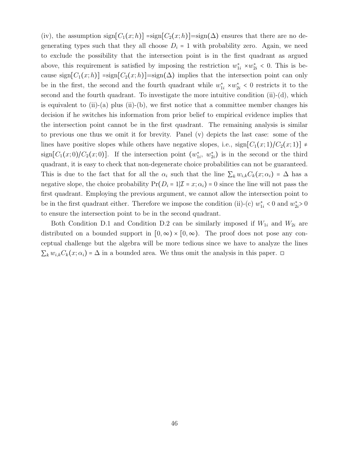(iv), the assumption  $\text{sign}[C_1(x; h)] = \text{sign}[C_2(x; h)] = \text{sign}(\Delta)$  ensures that there are no degenerating types such that they all choose  $D_i = 1$  with probability zero. Again, we need to exclude the possibility that the intersection point is in the first quadrant as argued above, this requirement is satisfied by imposing the restriction  $w_{1i}^* \times w_{2i}^* < 0$ . This is because sign[ $C_1(x; h)$ ] =sign[ $C_2(x; h)$ ]=sign( $\Delta$ ) implies that the intersection point can only be in the first, the second and the fourth quadrant while  $w_{1i}^* \times w_{2i}^* < 0$  restricts it to the second and the fourth quadrant. To investigate the more intuitive condition (ii)-(d), which is equivalent to (ii)-(a) plus (ii)-(b), we first notice that a committee member changes his decision if he switches his information from prior belief to empirical evidence implies that the intersection point cannot be in the first quadrant. The remaining analysis is similar to previous one thus we omit it for brevity. Panel (v) depicts the last case: some of the lines have positive slopes while others have negative slopes, i.e.,  $sign[C_1(x; 1)/C_2(x; 1)] \neq$  $sign[C_1(x;0)/C_2(x;0)]$ . If the intersection point  $(w_{1i}^*, w_{2i}^*)$  is in the second or the third quadrant, it is easy to check that non-degenerate choice probabilities can not be guaranteed. This is due to the fact that for all the  $\alpha_i$  such that the line  $\sum_k w_{i,k}C_k(x;\alpha_i) = \Delta$  has a negative slope, the choice probability  $Pr(D_i = 1 | \mathcal{I} = x; \alpha_i) = 0$  since the line will not pass the first quadrant. Employing the previous argument, we cannot allow the intersection point to be in the first quadrant either. Therefore we impose the condition (ii)-(c)  $w_{1i}^* < 0$  and  $w_{2i}^* > 0$ to ensure the intersection point to be in the second quadrant.

Both Condition D.1 and Condition D.2 can be similarly imposed if  $W_{1i}$  and  $W_{2i}$  are distributed on a bounded support in  $[0, \infty) \times [0, \infty)$ . The proof does not pose any conceptual challenge but the algebra will be more tedious since we have to analyze the lines  $\sum_k w_{i,k}C_k(x;\alpha_i) = \Delta$  in a bounded area. We thus omit the analysis in this paper.  $\Box$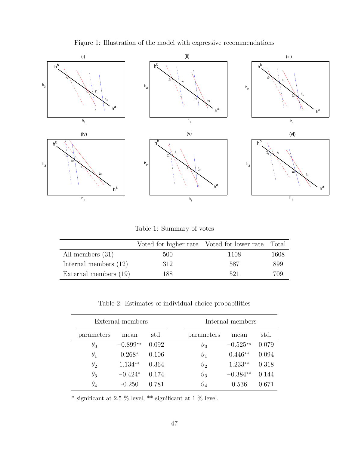

Figure 1: Illustration of the model with expressive recommendations

Table 1: Summary of votes

<span id="page-47-0"></span>

|                         |     | Voted for higher rate Voted for lower rate Total |      |
|-------------------------|-----|--------------------------------------------------|------|
| All members (31)        | 500 | 1108                                             | 1608 |
| Internal members $(12)$ | 312 | 587                                              | 899  |
| External members (19)   | 188 | 521                                              | 709  |

Table 2: Estimates of individual choice probabilities

<span id="page-47-1"></span>

|            | External members |       | Internal members |            |       |  |
|------------|------------------|-------|------------------|------------|-------|--|
| parameters | mean             | std.  | parameters       | mean       | std.  |  |
| $\theta_0$ | $-0.899**$       | 0.092 | $\vartheta_0$    | $-0.525**$ | 0.079 |  |
| $\theta_1$ | $0.268*$         | 0.106 | $\vartheta_1$    | $0.446**$  | 0.094 |  |
| $\theta_2$ | $1.134**$        | 0.364 | $\vartheta_2$    | $1.233**$  | 0.318 |  |
| $\theta_3$ | $-0.424*$        | 0.174 | $\vartheta_3$    | $-0.384**$ | 0.144 |  |
| $\theta_4$ | $-0.250$         | 0.781 | $\vartheta_4$    | 0.536      | 0.671 |  |

 $^*$  significant at 2.5  $\%$  level,  $^{**}$  significant at 1  $\%$  level.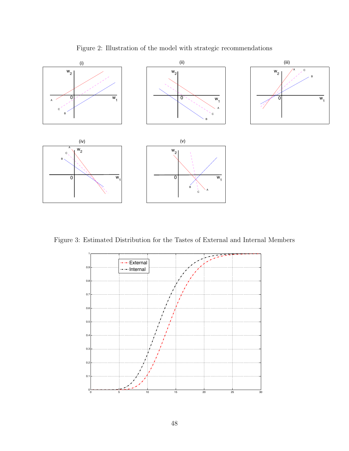<span id="page-48-0"></span>

Figure 2: Illustration of the model with strategic recommendations

<span id="page-48-1"></span>Figure 3: Estimated Distribution for the Tastes of External and Internal Members